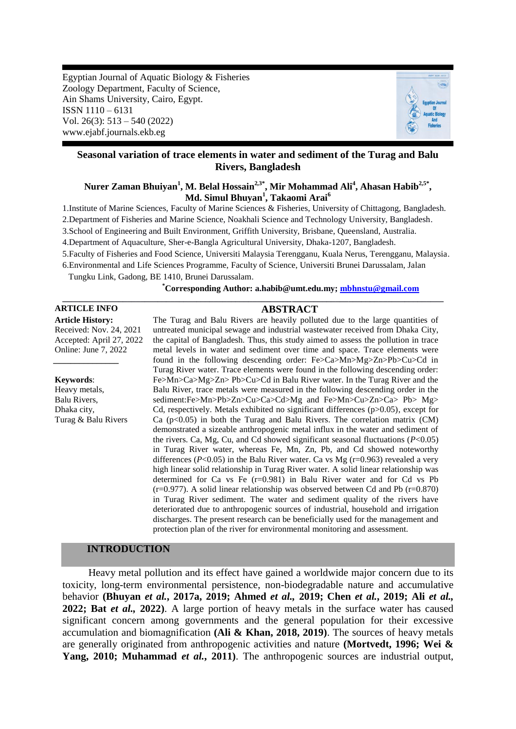Egyptian Journal of Aquatic Biology & Fisheries Zoology Department, Faculty of Science, Ain Shams University, Cairo, Egypt. ISSN 1110 – 6131 Vol. 26(3): 513 – 540 (2022) www.ejabf.journals.ekb.eg



# **Seasonal variation of trace elements in water and sediment of the Turag and Balu Rivers, Bangladesh**

## $\mathbf{N}$ urer Zaman Bhuiyan $^{1}$ , M. Belal Hossain $^{2,3^*}$ , Mir Mohammad Ali $^{4}$ , Ahasan Habib $^{2,5^*}$ , **Md. Simul Bhuyan<sup>1</sup> , Takaomi Arai<sup>6</sup>**

1.Institute of Marine Sciences, Faculty of Marine Sciences & Fisheries, University of Chittagong, Bangladesh.

2.Department of Fisheries and Marine Science, Noakhali Science and Technology University, Bangladesh.

3.School of Engineering and Built Environment, Griffith University, Brisbane, Queensland, Australia.

4.Department of Aquaculture, Sher-e-Bangla Agricultural University, Dhaka-1207, Bangladesh.

5.Faculty of Fisheries and Food Science, Universiti Malaysia Terengganu, Kuala Nerus, Terengganu, Malaysia.

**\_\_\_\_\_\_\_\_\_\_\_\_\_\_\_\_\_\_\_\_\_\_\_\_\_\_\_\_\_\_\_\_\_\_\_\_\_\_\_\_\_\_\_\_\_\_\_\_\_\_\_\_\_\_\_\_\_\_\_\_\_\_\_\_\_\_\_\_\_\_\_\_\_\_\_\_\_\_\_\_\_\_\_\_\_\_\_\_**

6.Environmental and Life Sciences Programme, Faculty of Science, Universiti Brunei Darussalam, Jalan

Tungku Link, Gadong, BE 1410, Brunei Darussalam.

 **\*Corresponding Author: a.habib@umt.edu.my; [mbhnstu@gmail.com](mailto:mbhnstu@gmail.com)**

## **ARTICLE INFO ABSTRACT**

*\_\_\_\_\_\_\_\_\_\_\_\_\_\_\_*

**Article History:** Received: Nov. 24, 2021 Accepted: April 27, 2022 Online: June 7, 2022

**Keywords**:

Heavy metals, Balu Rivers, Dhaka city, Turag & Balu Rivers

The Turag and Balu Rivers are heavily polluted due to the large quantities of untreated municipal sewage and industrial wastewater received from Dhaka City, the capital of Bangladesh. Thus, this study aimed to assess the pollution in trace metal levels in water and sediment over time and space. Trace elements were found in the following descending order: Fe>Ca>Mn>Mg>Zn>Pb>Cu>Cd in Turag River water. Trace elements were found in the following descending order: Fe>Mn>Ca>Mg>Zn> Pb>Cu>Cd in Balu River water. In the Turag River and the Balu River, trace metals were measured in the following descending order in the sediment:Fe>Mn>Pb>Zn>Cu>Ca>Cd>Mg and Fe>Mn>Cu>Zn>Ca> Pb> Mg> Cd, respectively. Metals exhibited no significant differences (p>0.05), except for Ca  $(p<0.05)$  in both the Turag and Balu Rivers. The correlation matrix (CM) demonstrated a sizeable anthropogenic metal influx in the water and sediment of the rivers. Ca, Mg, Cu, and Cd showed significant seasonal fluctuations (*P*<0.05) in Turag River water, whereas Fe, Mn, Zn, Pb, and Cd showed noteworthy differences ( $P<0.05$ ) in the Balu River water. Ca vs Mg ( $r=0.963$ ) revealed a very high linear solid relationship in Turag River water. A solid linear relationship was determined for Ca vs Fe (r=0.981) in Balu River water and for Cd vs Pb  $(r=0.977)$ . A solid linear relationship was observed between Cd and Pb  $(r=0.870)$ in Turag River sediment. The water and sediment quality of the rivers have deteriorated due to anthropogenic sources of industrial, household and irrigation discharges. The present research can be beneficially used for the management and protection plan of the river for environmental monitoring and assessment.

## **INTRODUCTION**

 Heavy metal pollution and its effect have gained a worldwide major concern due to its toxicity, long-term environmental persistence, non-biodegradable nature and accumulative behavior **(Bhuyan** *et al.***, 2017a, 2019; Ahmed** *et al.,* **2019; Chen** *et al.***, 2019; Ali** *et al.,* **2022; Bat** *et al.,* **2022)**. A large portion of heavy metals in the surface water has caused significant concern among governments and the general population for their excessive accumulation and biomagnification **(Ali & Khan, 2018, 2019)**. The sources of heavy metals are generally originated from anthropogenic activities and nature **(Mortvedt, 1996; Wei & Yang, 2010; Muhammad** *et al.***, 2011)**. The anthropogenic sources are industrial output,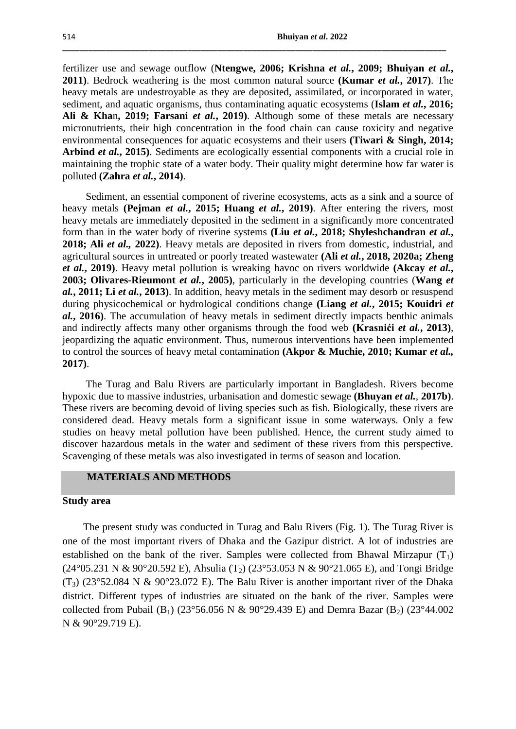fertilizer use and sewage outflow (**Ntengwe, 2006; Krishna** *et al.***, 2009; Bhuiyan** *et al.***, 2011)**. Bedrock weathering is the most common natural source **(Kumar** *et al.***, 2017)**. The heavy metals are undestroyable as they are deposited, assimilated, or incorporated in water, sediment, and aquatic organisms, thus contaminating aquatic ecosystems (**Islam** *et al.***, 2016; Ali & Kha**n**, 2019; Farsani** *et al.***, 2019)**. Although some of these metals are necessary micronutrients, their high concentration in the food chain can cause toxicity and negative environmental consequences for aquatic ecosystems and their users **(Tiwari & Singh, 2014; Arbind** *et al.***, 2015)**. Sediments are ecologically essential components with a crucial role in maintaining the trophic state of a water body. Their quality might determine how far water is polluted **(Zahra** *et al.***, 2014)**.

**\_\_\_\_\_\_\_\_\_\_\_\_\_\_\_\_\_\_\_\_\_\_\_\_\_\_\_\_\_\_\_\_\_\_\_\_\_\_\_\_\_\_\_\_\_\_\_\_\_\_\_\_\_\_\_\_\_\_\_\_\_\_\_\_\_\_\_\_\_\_\_\_\_\_\_\_\_\_\_\_\_\_\_\_\_\_\_\_\_**

 Sediment, an essential component of riverine ecosystems, acts as a sink and a source of heavy metals **(Pejman** *et al.***, 2015; Huang** *et al.***, 2019)**. After entering the rivers, most heavy metals are immediately deposited in the sediment in a significantly more concentrated form than in the water body of riverine systems **(Liu** *et al.***, 2018; Shyleshchandran** *et al.***, 2018; Ali** *et al.,* **2022)**. Heavy metals are deposited in rivers from domestic, industrial, and agricultural sources in untreated or poorly treated wastewater **(Ali** *et al.***, 2018, 2020a; Zheng** *et al.***, 2019)**. Heavy metal pollution is wreaking havoc on rivers worldwide **(Akcay** *et al.***, 2003; Olivares-Rieumont** *et al.***, 2005)**, particularly in the developing countries (**Wang** *et al.***, 2011; Li** *et al.***, 2013)**. In addition, heavy metals in the sediment may desorb or resuspend during physicochemical or hydrological conditions change **(Liang** *et al.***, 2015; Kouidri** *et al.***, 2016)**. The accumulation of heavy metals in sediment directly impacts benthic animals and indirectly affects many other organisms through the food web **(Krasnići** *et al.***, 2013)**, jeopardizing the aquatic environment. Thus, numerous interventions have been implemented to control the sources of heavy metal contamination **(Akpor & Muchie, 2010; Kumar** *et al.,* **2017)**.

 The Turag and Balu Rivers are particularly important in Bangladesh. Rivers become hypoxic due to massive industries, urbanisation and domestic sewage **(Bhuyan** *et al.,* **2017b)**. These rivers are becoming devoid of living species such as fish. Biologically, these rivers are considered dead. Heavy metals form a significant issue in some waterways. Only a few studies on heavy metal pollution have been published. Hence, the current study aimed to discover hazardous metals in the water and sediment of these rivers from this perspective. Scavenging of these metals was also investigated in terms of season and location.

## **MATERIALS AND METHODS**

## **Study area**

 The present study was conducted in Turag and Balu Rivers (Fig. 1). The Turag River is one of the most important rivers of Dhaka and the Gazipur district. A lot of industries are established on the bank of the river. Samples were collected from Bhawal Mirzapur  $(T_1)$  $(24^{\circ}05.231 \text{ N} \& 90^{\circ}20.592 \text{ E})$ , Ahsulia  $(T_2)$   $(23^{\circ}53.053 \text{ N} \& 90^{\circ}21.065 \text{ E})$ , and Tongi Bridge  $(T_3)$  (23°52.084 N & 90°23.072 E). The Balu River is another important river of the Dhaka district. Different types of industries are situated on the bank of the river. Samples were collected from Pubail (B<sub>1</sub>) (23°56.056 N & 90°29.439 E) and Demra Bazar (B<sub>2</sub>) (23°44.002 N & 90°29.719 E).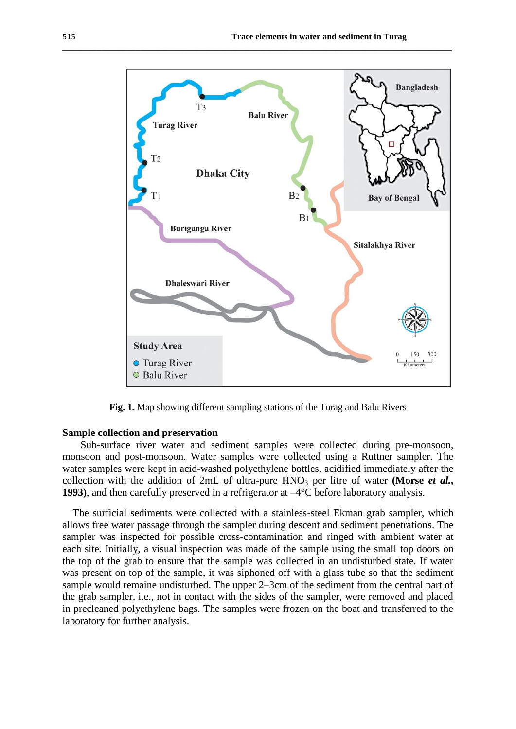

**\_\_\_\_\_\_\_\_\_\_\_\_\_\_\_\_\_\_\_\_\_\_\_\_\_\_\_\_\_\_\_\_\_\_\_\_\_\_\_\_\_\_\_\_\_\_\_\_\_\_\_\_\_\_\_\_\_\_\_\_\_\_\_\_\_\_\_\_\_\_\_\_\_\_\_\_\_\_\_\_\_\_\_\_\_\_\_\_\_\_**

**Fig. 1.** Map showing different sampling stations of the Turag and Balu Rivers

## **Sample collection and preservation**

 Sub-surface river water and sediment samples were collected during pre-monsoon, monsoon and post-monsoon. Water samples were collected using a Ruttner sampler. The water samples were kept in acid-washed polyethylene bottles, acidified immediately after the collection with the addition of 2mL of ultra-pure  $HNO<sub>3</sub>$  per litre of water **(Morse** *et al.***, 1993)**, and then carefully preserved in a refrigerator at –4°C before laboratory analysis.

 The surficial sediments were collected with a stainless-steel Ekman grab sampler, which allows free water passage through the sampler during descent and sediment penetrations. The sampler was inspected for possible cross-contamination and ringed with ambient water at each site. Initially, a visual inspection was made of the sample using the small top doors on the top of the grab to ensure that the sample was collected in an undisturbed state. If water was present on top of the sample, it was siphoned off with a glass tube so that the sediment sample would remaine undisturbed. The upper 2–3cm of the sediment from the central part of the grab sampler, i.e., not in contact with the sides of the sampler, were removed and placed in precleaned polyethylene bags. The samples were frozen on the boat and transferred to the laboratory for further analysis.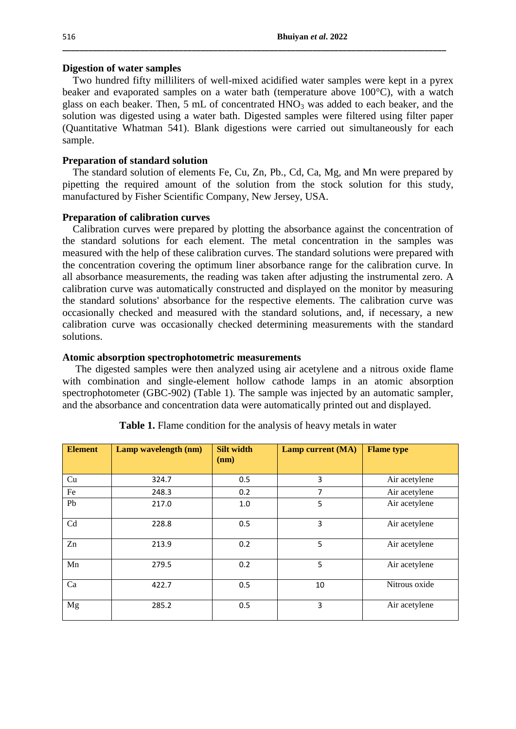#### **Digestion of water samples**

 Two hundred fifty milliliters of well-mixed acidified water samples were kept in a pyrex beaker and evaporated samples on a water bath (temperature above 100°C), with a watch glass on each beaker. Then,  $5 \text{ mL of concentrated HNO}_3$  was added to each beaker, and the solution was digested using a water bath. Digested samples were filtered using filter paper (Quantitative Whatman 541). Blank digestions were carried out simultaneously for each sample.

**\_\_\_\_\_\_\_\_\_\_\_\_\_\_\_\_\_\_\_\_\_\_\_\_\_\_\_\_\_\_\_\_\_\_\_\_\_\_\_\_\_\_\_\_\_\_\_\_\_\_\_\_\_\_\_\_\_\_\_\_\_\_\_\_\_\_\_\_\_\_\_\_\_\_\_\_\_\_\_\_\_\_\_\_\_\_\_\_\_**

## **Preparation of standard solution**

 The standard solution of elements Fe, Cu, Zn, Pb., Cd, Ca, Mg, and Mn were prepared by pipetting the required amount of the solution from the stock solution for this study, manufactured by Fisher Scientific Company, New Jersey, USA.

## **Preparation of calibration curves**

 Calibration curves were prepared by plotting the absorbance against the concentration of the standard solutions for each element. The metal concentration in the samples was measured with the help of these calibration curves. The standard solutions were prepared with the concentration covering the optimum liner absorbance range for the calibration curve. In all absorbance measurements, the reading was taken after adjusting the instrumental zero. A calibration curve was automatically constructed and displayed on the monitor by measuring the standard solutions' absorbance for the respective elements. The calibration curve was occasionally checked and measured with the standard solutions, and, if necessary, a new calibration curve was occasionally checked determining measurements with the standard solutions.

## **Atomic absorption spectrophotometric measurements**

 The digested samples were then analyzed using air acetylene and a nitrous oxide flame with combination and single-element hollow cathode lamps in an atomic absorption spectrophotometer (GBC-902) (Table 1). The sample was injected by an automatic sampler, and the absorbance and concentration data were automatically printed out and displayed.

| <b>Element</b> | Lamp wavelength (nm) | <b>Silt width</b><br>(nm) | <b>Lamp current (MA)</b> | <b>Flame</b> type |
|----------------|----------------------|---------------------------|--------------------------|-------------------|
|                |                      |                           |                          |                   |
| Cu             | 324.7                | 0.5                       | 3                        | Air acetylene     |
| Fe             | 248.3                | 0.2                       | 7                        | Air acetylene     |
| Pb             | 217.0                | 1.0                       | 5                        | Air acetylene     |
| Cd             | 228.8                | 0.5                       | $\overline{3}$           | Air acetylene     |
| Zn             | 213.9                | 0.2                       | 5                        | Air acetylene     |
| Mn             | 279.5                | 0.2                       | 5                        | Air acetylene     |
| Ca             | 422.7                | 0.5                       | 10                       | Nitrous oxide     |
| Mg             | 285.2                | 0.5                       | 3                        | Air acetylene     |

**Table 1.** Flame condition for the analysis of heavy metals in water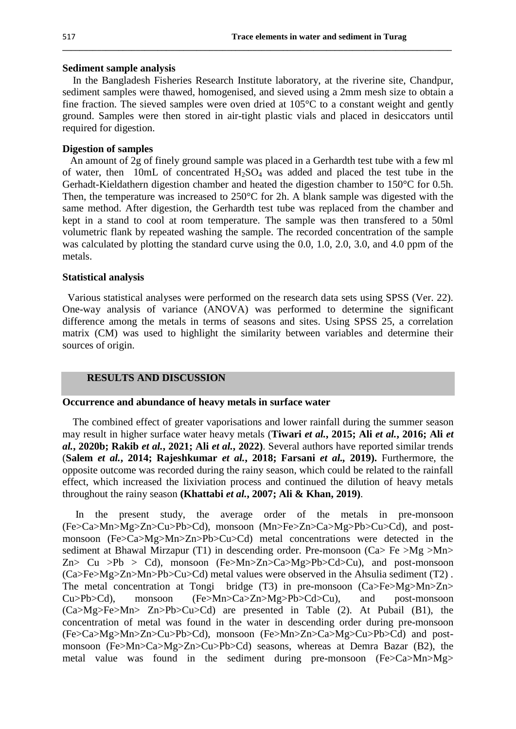#### **Sediment sample analysis**

 In the Bangladesh Fisheries Research Institute laboratory, at the riverine site, Chandpur, sediment samples were thawed, homogenised, and sieved using a 2mm mesh size to obtain a fine fraction. The sieved samples were oven dried at 105°C to a constant weight and gently ground. Samples were then stored in air-tight plastic vials and placed in desiccators until required for digestion.

**\_\_\_\_\_\_\_\_\_\_\_\_\_\_\_\_\_\_\_\_\_\_\_\_\_\_\_\_\_\_\_\_\_\_\_\_\_\_\_\_\_\_\_\_\_\_\_\_\_\_\_\_\_\_\_\_\_\_\_\_\_\_\_\_\_\_\_\_\_\_\_\_\_\_\_\_\_\_\_\_\_\_\_\_\_\_\_\_\_\_**

# **Digestion of samples**

 An amount of 2g of finely ground sample was placed in a Gerhardth test tube with a few ml of water, then 10mL of concentrated  $H_2SO_4$  was added and placed the test tube in the Gerhadt-Kieldathern digestion chamber and heated the digestion chamber to 150°C for 0.5h. Then, the temperature was increased to 250°C for 2h. A blank sample was digested with the same method. After digestion, the Gerhardth test tube was replaced from the chamber and kept in a stand to cool at room temperature. The sample was then transfered to a 50ml volumetric flank by repeated washing the sample. The recorded concentration of the sample was calculated by plotting the standard curve using the 0.0, 1.0, 2.0, 3.0, and 4.0 ppm of the metals.

#### **Statistical analysis**

 Various statistical analyses were performed on the research data sets using SPSS (Ver. 22). One-way analysis of variance (ANOVA) was performed to determine the significant difference among the metals in terms of seasons and sites. Using SPSS 25, a correlation matrix (CM) was used to highlight the similarity between variables and determine their sources of origin.

## **RESULTS AND DISCUSSION**

#### **Occurrence and abundance of heavy metals in surface water**

 The combined effect of greater vaporisations and lower rainfall during the summer season may result in higher surface water heavy metals (**Tiwari** *et al.***, 2015; Ali** *et al.***, 2016; Ali** *et al.***, 2020b; Rakib** *et al.***, 2021; Ali** *et al.***, 2022)**. Several authors have reported similar trends (**Salem** *et al.***, 2014; Rajeshkumar** *et al.***, 2018; Farsani** *et al.,* **2019).** Furthermore, the opposite outcome was recorded during the rainy season, which could be related to the rainfall effect, which increased the lixiviation process and continued the dilution of heavy metals throughout the rainy season **(Khattabi** *et al.***, 2007; Ali & Khan, 2019)**.

 In the present study, the average order of the metals in pre-monsoon (Fe>Ca>Mn>Mg>Zn>Cu>Pb>Cd), monsoon (Mn>Fe>Zn>Ca>Mg>Pb>Cu>Cd), and postmonsoon (Fe>Ca>Mg>Mn>Zn>Pb>Cu>Cd) metal concentrations were detected in the sediment at Bhawal Mirzapur (T1) in descending order. Pre-monsoon (Ca $>$  Fe  $>$ Mg  $>$ Mn $>$ Zn> Cu >Pb > Cd), monsoon (Fe>Mn>Zn>Ca>Mg>Pb>Cd>Cu), and post-monsoon (Ca>Fe>Mg>Zn>Mn>Pb>Cu>Cd) metal values were observed in the Ahsulia sediment (T2) . The metal concentration at Tongi bridge (T3) in pre-monsoon (Ca>Fe>Mg>Mn>Zn> Cu>Pb>Cd), monsoon (Fe>Mn>Ca>Zn>Mg>Pb>Cd>Cu), and post-monsoon (Ca>Mg>Fe>Mn> Zn>Pb>Cu>Cd) are presented in Table (2). At Pubail (B1), the concentration of metal was found in the water in descending order during pre-monsoon (Fe>Ca>Mg>Mn>Zn>Cu>Pb>Cd), monsoon (Fe>Mn>Zn>Ca>Mg>Cu>Pb>Cd) and postmonsoon (Fe>Mn>Ca>Mg>Zn>Cu>Pb>Cd) seasons, whereas at Demra Bazar (B2), the metal value was found in the sediment during pre-monsoon (Fe>Ca>Mn>Mg>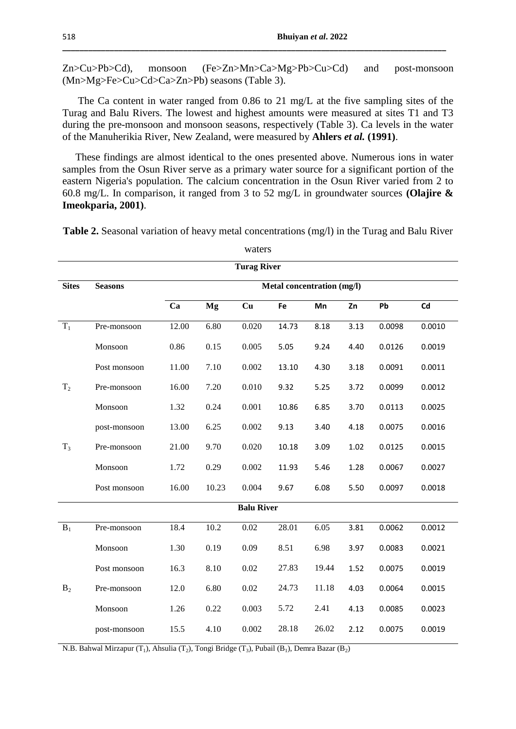Zn>Cu>Pb>Cd), monsoon (Fe>Zn>Mn>Ca>Mg>Pb>Cu>Cd) and post-monsoon (Mn>Mg>Fe>Cu>Cd>Ca>Zn>Pb) seasons (Table 3).

**\_\_\_\_\_\_\_\_\_\_\_\_\_\_\_\_\_\_\_\_\_\_\_\_\_\_\_\_\_\_\_\_\_\_\_\_\_\_\_\_\_\_\_\_\_\_\_\_\_\_\_\_\_\_\_\_\_\_\_\_\_\_\_\_\_\_\_\_\_\_\_\_\_\_\_\_\_\_\_\_\_\_\_\_\_\_\_\_\_**

 The Ca content in water ranged from 0.86 to 21 mg/L at the five sampling sites of the Turag and Balu Rivers. The lowest and highest amounts were measured at sites T1 and T3 during the pre-monsoon and monsoon seasons, respectively (Table 3). Ca levels in the water of the Manuherikia River, New Zealand, were measured by **Ahlers** *et al.* **(1991)**.

 These findings are almost identical to the ones presented above. Numerous ions in water samples from the Osun River serve as a primary water source for a significant portion of the eastern Nigeria's population. The calcium concentration in the Osun River varied from 2 to 60.8 mg/L. In comparison, it ranged from 3 to 52 mg/L in groundwater sources **(Olajire & Imeokparia, 2001)**.

|                | <b>Turag River</b> |       |       |                   |                            |       |      |        |        |  |  |  |  |  |
|----------------|--------------------|-------|-------|-------------------|----------------------------|-------|------|--------|--------|--|--|--|--|--|
| <b>Sites</b>   | <b>Seasons</b>     |       |       |                   | Metal concentration (mg/l) |       |      |        |        |  |  |  |  |  |
|                |                    | Ca    | Mg    | Cu                | Fe                         | Mn    | Zn   | Pb     | Cd     |  |  |  |  |  |
| $T_1$          | Pre-monsoon        | 12.00 | 6.80  | 0.020             | 14.73                      | 8.18  | 3.13 | 0.0098 | 0.0010 |  |  |  |  |  |
|                | Monsoon            | 0.86  | 0.15  | 0.005             | 5.05                       | 9.24  | 4.40 | 0.0126 | 0.0019 |  |  |  |  |  |
|                | Post monsoon       | 11.00 | 7.10  | 0.002             | 13.10                      | 4.30  | 3.18 | 0.0091 | 0.0011 |  |  |  |  |  |
| T <sub>2</sub> | Pre-monsoon        | 16.00 | 7.20  | 0.010             | 9.32                       | 5.25  | 3.72 | 0.0099 | 0.0012 |  |  |  |  |  |
|                | Monsoon            | 1.32  | 0.24  | 0.001             | 10.86                      | 6.85  | 3.70 | 0.0113 | 0.0025 |  |  |  |  |  |
|                | post-monsoon       | 13.00 | 6.25  | 0.002             | 9.13                       | 3.40  | 4.18 | 0.0075 | 0.0016 |  |  |  |  |  |
| $T_3$          | Pre-monsoon        | 21.00 | 9.70  | 0.020             | 10.18                      | 3.09  | 1.02 | 0.0125 | 0.0015 |  |  |  |  |  |
|                | Monsoon            | 1.72  | 0.29  | 0.002             | 11.93                      | 5.46  | 1.28 | 0.0067 | 0.0027 |  |  |  |  |  |
|                | Post monsoon       | 16.00 | 10.23 | 0.004             | 9.67                       | 6.08  | 5.50 | 0.0097 | 0.0018 |  |  |  |  |  |
|                |                    |       |       | <b>Balu River</b> |                            |       |      |        |        |  |  |  |  |  |
| $\mathbf{B}_1$ | Pre-monsoon        | 18.4  | 10.2  | 0.02              | 28.01                      | 6.05  | 3.81 | 0.0062 | 0.0012 |  |  |  |  |  |
|                | Monsoon            | 1.30  | 0.19  | 0.09              | 8.51                       | 6.98  | 3.97 | 0.0083 | 0.0021 |  |  |  |  |  |
|                | Post monsoon       | 16.3  | 8.10  | 0.02              | 27.83                      | 19.44 | 1.52 | 0.0075 | 0.0019 |  |  |  |  |  |
| B <sub>2</sub> | Pre-monsoon        | 12.0  | 6.80  | 0.02              | 24.73                      | 11.18 | 4.03 | 0.0064 | 0.0015 |  |  |  |  |  |
|                | Monsoon            | 1.26  | 0.22  | 0.003             | 5.72                       | 2.41  | 4.13 | 0.0085 | 0.0023 |  |  |  |  |  |
|                | post-monsoon       | 15.5  | 4.10  | 0.002             | 28.18                      | 26.02 | 2.12 | 0.0075 | 0.0019 |  |  |  |  |  |

**Table 2.** Seasonal variation of heavy metal concentrations (mg/l) in the Turag and Balu River

waters

N.B. Bahwal Mirzapur (T<sub>1</sub>), Ahsulia (T<sub>2</sub>), Tongi Bridge (T<sub>3</sub>), Pubail (B<sub>1</sub>), Demra Bazar (B<sub>2</sub>)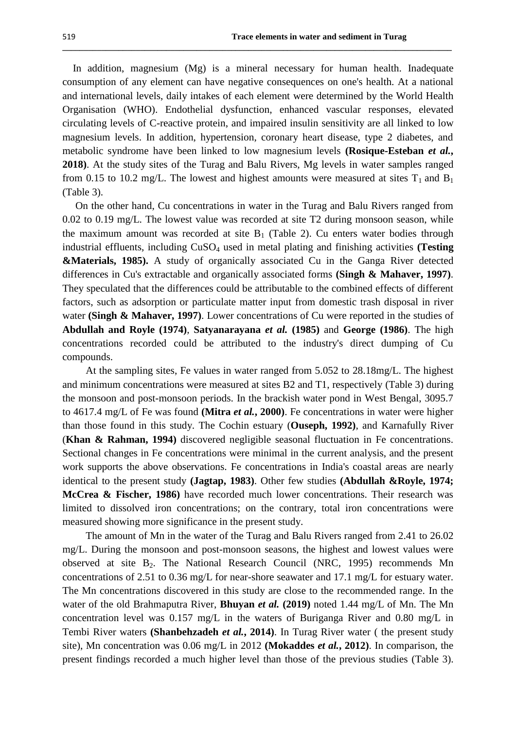In addition, magnesium (Mg) is a mineral necessary for human health. Inadequate consumption of any element can have negative consequences on one's health. At a national and international levels, daily intakes of each element were determined by the World Health Organisation (WHO). Endothelial dysfunction, enhanced vascular responses, elevated circulating levels of C-reactive protein, and impaired insulin sensitivity are all linked to low magnesium levels. In addition, hypertension, coronary heart disease, type 2 diabetes, and metabolic syndrome have been linked to low magnesium levels **(Rosique-Esteban** *et al.***, 2018)**. At the study sites of the Turag and Balu Rivers, Mg levels in water samples ranged from 0.15 to 10.2 mg/L. The lowest and highest amounts were measured at sites  $T_1$  and  $B_1$ (Table 3).

**\_\_\_\_\_\_\_\_\_\_\_\_\_\_\_\_\_\_\_\_\_\_\_\_\_\_\_\_\_\_\_\_\_\_\_\_\_\_\_\_\_\_\_\_\_\_\_\_\_\_\_\_\_\_\_\_\_\_\_\_\_\_\_\_\_\_\_\_\_\_\_\_\_\_\_\_\_\_\_\_\_\_\_\_\_\_\_\_\_\_**

 On the other hand, Cu concentrations in water in the Turag and Balu Rivers ranged from 0.02 to 0.19 mg/L. The lowest value was recorded at site T2 during monsoon season, while the maximum amount was recorded at site  $B_1$  (Table 2). Cu enters water bodies through industrial effluents, including CuSO<sup>4</sup> used in metal plating and finishing activities **(Testing &Materials, 1985).** A study of organically associated Cu in the Ganga River detected differences in Cu's extractable and organically associated forms **(Singh & Mahaver, 1997)**. They speculated that the differences could be attributable to the combined effects of different factors, such as adsorption or particulate matter input from domestic trash disposal in river water **(Singh & Mahaver, 1997)**. Lower concentrations of Cu were reported in the studies of **Abdullah and Royle (1974)**, **Satyanarayana** *et al.* **(1985)** and **George (1986)**. The high concentrations recorded could be attributed to the industry's direct dumping of Cu compounds.

 At the sampling sites, Fe values in water ranged from 5.052 to 28.18mg/L. The highest and minimum concentrations were measured at sites B2 and T1, respectively (Table 3) during the monsoon and post-monsoon periods. In the brackish water pond in West Bengal, 3095.7 to 4617.4 mg/L of Fe was found **(Mitra** *et al.***, 2000)**. Fe concentrations in water were higher than those found in this study. The Cochin estuary (**Ouseph, 1992)**, and Karnafully River (**Khan & Rahman, 1994)** discovered negligible seasonal fluctuation in Fe concentrations. Sectional changes in Fe concentrations were minimal in the current analysis, and the present work supports the above observations. Fe concentrations in India's coastal areas are nearly identical to the present study **(Jagtap, 1983)**. Other few studies **(Abdullah &Royle, 1974; McCrea & Fischer, 1986)** have recorded much lower concentrations. Their research was limited to dissolved iron concentrations; on the contrary, total iron concentrations were measured showing more significance in the present study.

 The amount of Mn in the water of the Turag and Balu Rivers ranged from 2.41 to 26.02 mg/L. During the monsoon and post-monsoon seasons, the highest and lowest values were observed at site B<sub>2</sub>. The National Research Council (NRC, 1995) recommends Mn concentrations of 2.51 to 0.36 mg/L for near-shore seawater and 17.1 mg/L for estuary water. The Mn concentrations discovered in this study are close to the recommended range. In the water of the old Brahmaputra River, **Bhuyan** *et al.* **(2019)** noted 1.44 mg/L of Mn. The Mn concentration level was 0.157 mg/L in the waters of Buriganga River and 0.80 mg/L in Tembi River waters **(Shanbehzadeh** *et al.***, 2014)**. In Turag River water ( the present study site), Mn concentration was 0.06 mg/L in 2012 **(Mokaddes** *et al.***, 2012)**. In comparison, the present findings recorded a much higher level than those of the previous studies (Table 3).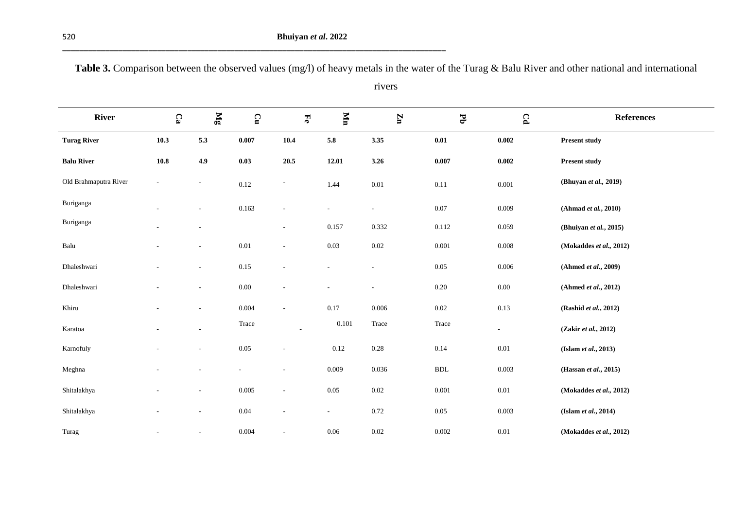**\_\_\_\_\_\_\_\_\_\_\_\_\_\_\_\_\_\_\_\_\_\_\_\_\_\_\_\_\_\_\_\_\_\_\_\_\_\_\_\_\_\_\_\_\_\_\_\_\_\_\_\_\_\_\_\_\_\_\_\_\_\_\_\_\_\_\_\_\_\_\_\_\_\_\_\_\_\_\_\_\_\_\_\_\_\_\_\_\_**

|               | I<br>. . | ×            |
|---------------|----------|--------------|
|               | ۰.       |              |
| ł<br>۰.<br>v. |          | ł<br>×<br>۰. |

**Table 3.** Comparison between the observed values (mg/l) of heavy metals in the water of the Turag & Balu River and other national and international

rivers

| <b>River</b>          | $\mathbf{C}_3$           | $\mathbb{N}_\mathbf{g}$  | $\mathbf{C}$ | Ee                       | ИI                       | $\mathbf{Z}$             | $\mathbf{F}_{\mathbf{D}}$ | $\pmb{\Omega}$ | <b>References</b>       |
|-----------------------|--------------------------|--------------------------|--------------|--------------------------|--------------------------|--------------------------|---------------------------|----------------|-------------------------|
| <b>Turag River</b>    | 10.3                     | 5.3                      | 0.007        | 10.4                     | $5.8\,$                  | 3.35                     | $\mathbf{0.01}$           | 0.002          | <b>Present study</b>    |
| <b>Balu River</b>     | $\bf 10.8$               | 4.9                      | 0.03         | 20.5                     | 12.01                    | 3.26                     | 0.007                     | 0.002          | <b>Present study</b>    |
| Old Brahmaputra River | $\overline{\phantom{a}}$ | $\sim$                   | 0.12         |                          | 1.44                     | $0.01\,$                 | $0.11\,$                  | 0.001          | (Bhuyan et al., 2019)   |
| Buriganga             |                          | ٠                        | 0.163        |                          | $\sim$                   | $\sim$                   | $0.07\,$                  | 0.009          | (Ahmad et al., 2010)    |
| Buriganga             |                          |                          |              |                          | 0.157                    | 0.332                    | 0.112                     | 0.059          | (Bhuiyan et al., 2015)  |
| Balu                  | ٠                        | $\sim$                   | $0.01\,$     | $\overline{\phantom{a}}$ | 0.03                     | $0.02\,$                 | 0.001                     | 0.008          | (Mokaddes et al., 2012) |
| Dhaleshwari           |                          | $\overline{\phantom{a}}$ | $0.15\,$     |                          | $\overline{\phantom{a}}$ | $\overline{\phantom{a}}$ | 0.05                      | 0.006          | (Ahmed et al., 2009)    |
| Dhaleshwari           |                          |                          | $0.00\,$     |                          |                          |                          | $0.20\,$                  | $0.00\,$       | (Ahmed et al., 2012)    |
| Khiru                 |                          |                          | 0.004        | $\sim$                   | 0.17                     | 0.006                    | $0.02\,$                  | 0.13           | (Rashid et al., 2012)   |
| Karatoa               |                          |                          | Trace        | $\overline{\phantom{a}}$ | 0.101                    | Trace                    | Trace                     | $\frac{1}{2}$  | (Zakir et al., 2012)    |
| Karnofuly             | $\overline{\phantom{a}}$ | $\overline{\phantom{a}}$ | $0.05\,$     |                          | 0.12                     | 0.28                     | 0.14                      | 0.01           | (Islam et al., 2013)    |
| Meghna                |                          |                          |              |                          | 0.009                    | 0.036                    | $\operatorname{BDL}$      | 0.003          | (Hassan et al., 2015)   |
| Shitalakhya           |                          |                          | 0.005        |                          | $0.05\,$                 | $0.02\,$                 | 0.001                     | 0.01           | (Mokaddes et al., 2012) |
| Shitalakhya           |                          | $\overline{\phantom{a}}$ | $0.04\,$     |                          | $\sim$                   | 0.72                     | $0.05\,$                  | 0.003          | (Islam et al., 2014)    |
| Turag                 |                          | $\overline{\phantom{a}}$ | 0.004        |                          | $0.06\,$                 | $0.02\,$                 | 0.002                     | $0.01\,$       | (Mokaddes et al., 2012) |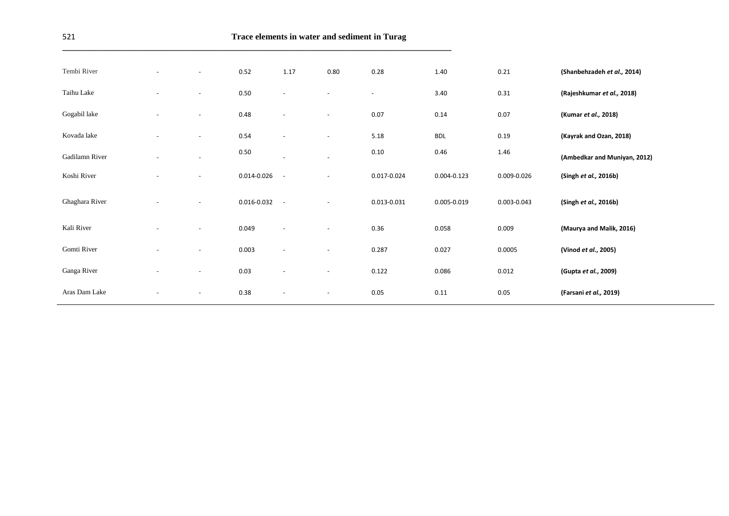**\_\_\_\_\_\_\_\_\_\_\_\_\_\_\_\_\_\_\_\_\_\_\_\_\_\_\_\_\_\_\_\_\_\_\_\_\_\_\_\_\_\_\_\_\_\_\_\_\_\_\_\_\_\_\_\_\_\_\_\_\_\_\_\_\_\_\_\_\_\_\_\_\_\_\_\_\_\_\_\_\_\_\_\_\_\_\_\_\_\_**

| Tembi River    | $\overline{\phantom{a}}$ | $\overline{\phantom{a}}$ | 0.52        | 1.17                     | 0.80                     | 0.28                     | 1.40        | 0.21        | (Shanbehzadeh et al., 2014)  |
|----------------|--------------------------|--------------------------|-------------|--------------------------|--------------------------|--------------------------|-------------|-------------|------------------------------|
| Taihu Lake     |                          | $\overline{\phantom{a}}$ | 0.50        | $\overline{\phantom{a}}$ | $\blacksquare$           | $\overline{\phantom{a}}$ | 3.40        | 0.31        | (Rajeshkumar et al., 2018)   |
| Gogabil lake   | $\overline{\phantom{a}}$ | $\sim$                   | 0.48        | $\overline{\phantom{a}}$ | $\overline{\phantom{a}}$ | 0.07                     | 0.14        | 0.07        | (Kumar et al., 2018)         |
| Kovada lake    | $\overline{\phantom{a}}$ | $\overline{\phantom{a}}$ | 0.54        | $\overline{\phantom{a}}$ | $\overline{\phantom{a}}$ | 5.18                     | <b>BDL</b>  | 0.19        | (Kayrak and Ozan, 2018)      |
| Gadilamn River |                          | $\overline{\phantom{a}}$ | 0.50        |                          | $\overline{\phantom{a}}$ | 0.10                     | 0.46        | 1.46        | (Ambedkar and Muniyan, 2012) |
| Koshi River    | $\overline{\phantom{a}}$ | $\overline{\phantom{a}}$ | 0.014-0.026 | $\sim$                   | $\overline{\phantom{a}}$ | 0.017-0.024              | 0.004-0.123 | 0.009-0.026 | (Singh et al., 2016b)        |
| Ghaghara River |                          | $\overline{\phantom{a}}$ | 0.016-0.032 | $\sim$                   | $\overline{\phantom{a}}$ | 0.013-0.031              | 0.005-0.019 | 0.003-0.043 | (Singh et al., 2016b)        |
| Kali River     |                          | $\overline{\phantom{a}}$ | 0.049       | $\overline{\phantom{a}}$ | $\blacksquare$           | 0.36                     | 0.058       | 0.009       | (Maurya and Malik, 2016)     |
| Gomti River    | $\blacksquare$           | $\overline{\phantom{a}}$ | 0.003       | $\overline{\phantom{a}}$ | $\blacksquare$           | 0.287                    | 0.027       | 0.0005      | (Vinod et al., 2005)         |
| Ganga River    | $\sim$                   | $\sim$                   | 0.03        | $\overline{\phantom{a}}$ | $\sim$                   | 0.122                    | 0.086       | 0.012       | (Gupta et al., 2009)         |
| Aras Dam Lake  |                          | $\sim$                   | 0.38        | $\overline{\phantom{a}}$ | $\overline{\phantom{a}}$ | 0.05                     | 0.11        | 0.05        | (Farsani et al., 2019)       |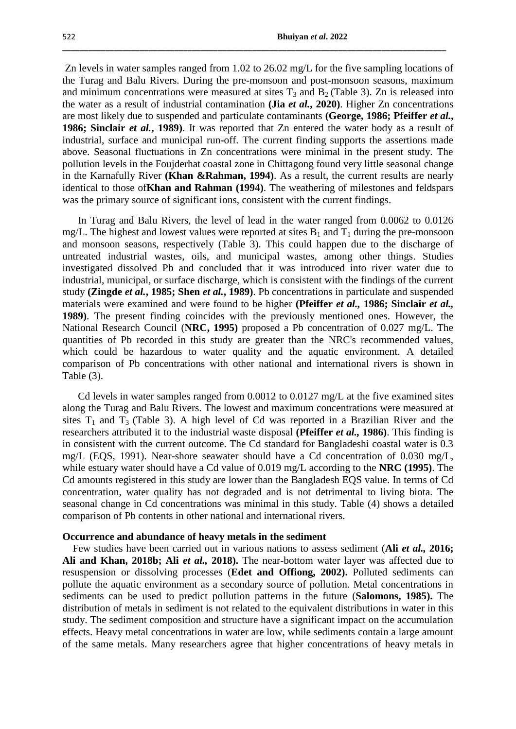Zn levels in water samples ranged from 1.02 to 26.02 mg/L for the five sampling locations of the Turag and Balu Rivers. During the pre-monsoon and post-monsoon seasons, maximum and minimum concentrations were measured at sites  $T_3$  and  $B_2$  (Table 3). Zn is released into the water as a result of industrial contamination **(Jia** *et al.***, 2020)**. Higher Zn concentrations are most likely due to suspended and particulate contaminants **(George, 1986; Pfeiffer** *et al.***, 1986; Sinclair** *et al.***, 1989)**. It was reported that Zn entered the water body as a result of industrial, surface and municipal run-off. The current finding supports the assertions made above. Seasonal fluctuations in Zn concentrations were minimal in the present study. The pollution levels in the Foujderhat coastal zone in Chittagong found very little seasonal change in the Karnafully River **(Khan &Rahman, 1994)**. As a result, the current results are nearly identical to those of**Khan and Rahman (1994)**. The weathering of milestones and feldspars was the primary source of significant ions, consistent with the current findings.

**\_\_\_\_\_\_\_\_\_\_\_\_\_\_\_\_\_\_\_\_\_\_\_\_\_\_\_\_\_\_\_\_\_\_\_\_\_\_\_\_\_\_\_\_\_\_\_\_\_\_\_\_\_\_\_\_\_\_\_\_\_\_\_\_\_\_\_\_\_\_\_\_\_\_\_\_\_\_\_\_\_\_\_\_\_\_\_\_\_**

 In Turag and Balu Rivers, the level of lead in the water ranged from 0.0062 to 0.0126 mg/L. The highest and lowest values were reported at sites  $B_1$  and  $T_1$  during the pre-monsoon and monsoon seasons, respectively (Table 3). This could happen due to the discharge of untreated industrial wastes, oils, and municipal wastes, among other things. Studies investigated dissolved Pb and concluded that it was introduced into river water due to industrial, municipal, or surface discharge, which is consistent with the findings of the current study **(Zingde** *et al.***, 1985; Shen** *et al.***, 1989)**. Pb concentrations in particulate and suspended materials were examined and were found to be higher **(Pfeiffer** *et al.,* **1986; Sinclair** *et al.,* **1989)**. The present finding coincides with the previously mentioned ones. However, the National Research Council (**NRC, 1995)** proposed a Pb concentration of 0.027 mg/L. The quantities of Pb recorded in this study are greater than the NRC's recommended values, which could be hazardous to water quality and the aquatic environment. A detailed comparison of Pb concentrations with other national and international rivers is shown in Table (3).

 Cd levels in water samples ranged from 0.0012 to 0.0127 mg/L at the five examined sites along the Turag and Balu Rivers. The lowest and maximum concentrations were measured at sites  $T_1$  and  $T_3$  (Table 3). A high level of Cd was reported in a Brazilian River and the researchers attributed it to the industrial waste disposal **(Pfeiffer** *et al.,* **1986)**. This finding is in consistent with the current outcome. The Cd standard for Bangladeshi coastal water is 0.3 mg/L (EQS, 1991). Near-shore seawater should have a Cd concentration of 0.030 mg/L, while estuary water should have a Cd value of 0.019 mg/L according to the **NRC (1995)**. The Cd amounts registered in this study are lower than the Bangladesh EQS value. In terms of Cd concentration, water quality has not degraded and is not detrimental to living biota. The seasonal change in Cd concentrations was minimal in this study. Table (4) shows a detailed comparison of Pb contents in other national and international rivers.

#### **Occurrence and abundance of heavy metals in the sediment**

 Few studies have been carried out in various nations to assess sediment (**Ali** *et al.,* **2016; Ali and Khan, 2018b; Ali** *et al.,* **2018).** The near-bottom water layer was affected due to resuspension or dissolving processes (**Edet and Offiong, 2002).** Polluted sediments can pollute the aquatic environment as a secondary source of pollution. Metal concentrations in sediments can be used to predict pollution patterns in the future (**Salomons, 1985).** The distribution of metals in sediment is not related to the equivalent distributions in water in this study. The sediment composition and structure have a significant impact on the accumulation effects. Heavy metal concentrations in water are low, while sediments contain a large amount of the same metals. Many researchers agree that higher concentrations of heavy metals in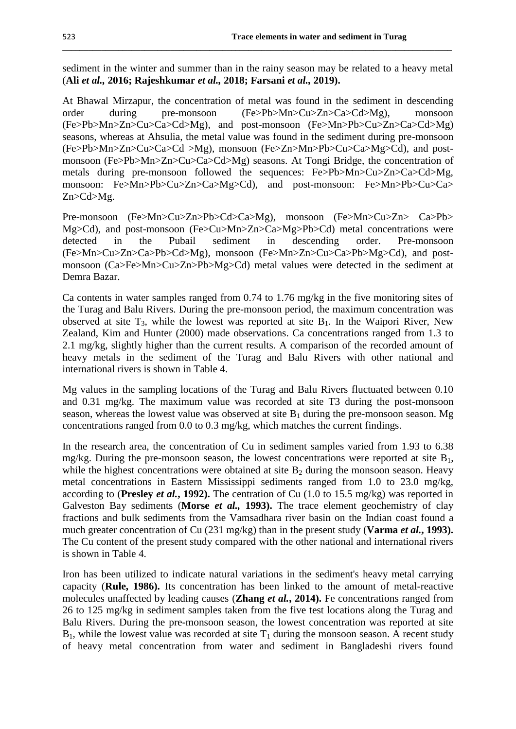sediment in the winter and summer than in the rainy season may be related to a heavy metal (**Ali** *et al.,* **2016; Rajeshkumar** *et al.,* **2018; Farsani** *et al.,* **2019).**

**\_\_\_\_\_\_\_\_\_\_\_\_\_\_\_\_\_\_\_\_\_\_\_\_\_\_\_\_\_\_\_\_\_\_\_\_\_\_\_\_\_\_\_\_\_\_\_\_\_\_\_\_\_\_\_\_\_\_\_\_\_\_\_\_\_\_\_\_\_\_\_\_\_\_\_\_\_\_\_\_\_\_\_\_\_\_\_\_\_\_**

At Bhawal Mirzapur, the concentration of metal was found in the sediment in descending order during pre-monsoon (Fe>Pb>Mn>Cu>Zn>Ca>Cd>Mg), monsoon (Fe>Pb>Mn>Zn>Cu>Ca>Cd>Mg), and post-monsoon (Fe>Mn>Pb>Cu>Zn>Ca>Cd>Mg) seasons, whereas at Ahsulia, the metal value was found in the sediment during pre-monsoon (Fe>Pb>Mn>Zn>Cu>Ca>Cd >Mg), monsoon (Fe>Zn>Mn>Pb>Cu>Ca>Mg>Cd), and postmonsoon (Fe>Pb>Mn>Zn>Cu>Ca>Cd>Mg) seasons. At Tongi Bridge, the concentration of metals during pre-monsoon followed the sequences: Fe>Pb>Mn>Cu>Zn>Ca>Cd>Mg, monsoon: Fe>Mn>Pb>Cu>Zn>Ca>Mg>Cd), and post-monsoon: Fe>Mn>Pb>Cu>Ca> Zn>Cd>Mg.

Pre-monsoon (Fe>Mn>Cu>Zn>Pb>Cd>Ca>Mg), monsoon (Fe>Mn>Cu>Zn> Ca>Pb> Mg>Cd), and post-monsoon (Fe>Cu>Mn>Zn>Ca>Mg>Pb>Cd) metal concentrations were detected in the Pubail sediment in descending order. Pre-monsoon (Fe>Mn>Cu>Zn>Ca>Pb>Cd>Mg), monsoon (Fe>Mn>Zn>Cu>Ca>Pb>Mg>Cd), and postmonsoon (Ca>Fe>Mn>Cu>Zn>Pb>Mg>Cd) metal values were detected in the sediment at Demra Bazar.

Ca contents in water samples ranged from 0.74 to 1.76 mg/kg in the five monitoring sites of the Turag and Balu Rivers. During the pre-monsoon period, the maximum concentration was observed at site  $T_3$ , while the lowest was reported at site  $B_1$ . In the Waipori River, New Zealand, Kim and Hunter (2000) made observations. Ca concentrations ranged from 1.3 to 2.1 mg/kg, slightly higher than the current results. A comparison of the recorded amount of heavy metals in the sediment of the Turag and Balu Rivers with other national and international rivers is shown in Table 4.

Mg values in the sampling locations of the Turag and Balu Rivers fluctuated between 0.10 and 0.31 mg/kg. The maximum value was recorded at site T3 during the post-monsoon season, whereas the lowest value was observed at site  $B_1$  during the pre-monsoon season. Mg concentrations ranged from 0.0 to 0.3 mg/kg, which matches the current findings.

In the research area, the concentration of Cu in sediment samples varied from 1.93 to 6.38 mg/kg. During the pre-monsoon season, the lowest concentrations were reported at site  $B_1$ , while the highest concentrations were obtained at site  $B_2$  during the monsoon season. Heavy metal concentrations in Eastern Mississippi sediments ranged from 1.0 to 23.0 mg/kg, according to (**Presley** *et al.***, 1992).** The centration of Cu (1.0 to 15.5 mg/kg) was reported in Galveston Bay sediments (**Morse** *et al.,* **1993).** The trace element geochemistry of clay fractions and bulk sediments from the Vamsadhara river basin on the Indian coast found a much greater concentration of Cu (231 mg/kg) than in the present study (**Varma** *et al.***, 1993).** The Cu content of the present study compared with the other national and international rivers is shown in Table 4.

Iron has been utilized to indicate natural variations in the sediment's heavy metal carrying capacity (**Rule, 1986).** Its concentration has been linked to the amount of metal-reactive molecules unaffected by leading causes (**Zhang** *et al.***, 2014).** Fe concentrations ranged from 26 to 125 mg/kg in sediment samples taken from the five test locations along the Turag and Balu Rivers. During the pre-monsoon season, the lowest concentration was reported at site  $B_1$ , while the lowest value was recorded at site  $T_1$  during the monsoon season. A recent study of heavy metal concentration from water and sediment in Bangladeshi rivers found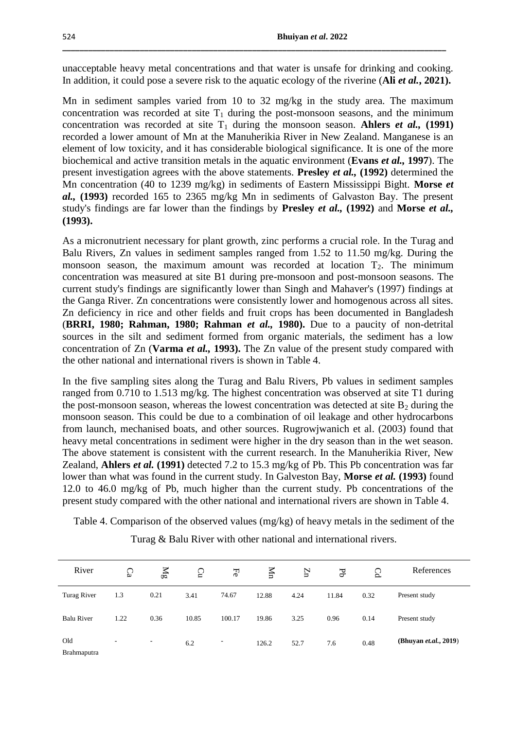unacceptable heavy metal concentrations and that water is unsafe for drinking and cooking. In addition, it could pose a severe risk to the aquatic ecology of the riverine (**Ali** *et al.***, 2021).**

**\_\_\_\_\_\_\_\_\_\_\_\_\_\_\_\_\_\_\_\_\_\_\_\_\_\_\_\_\_\_\_\_\_\_\_\_\_\_\_\_\_\_\_\_\_\_\_\_\_\_\_\_\_\_\_\_\_\_\_\_\_\_\_\_\_\_\_\_\_\_\_\_\_\_\_\_\_\_\_\_\_\_\_\_\_\_\_\_\_**

Mn in sediment samples varied from 10 to 32 mg/kg in the study area. The maximum concentration was recorded at site  $T_1$  during the post-monsoon seasons, and the minimum concentration was recorded at site  $T_1$  during the monsoon season. Ahlers *et al.*, (1991) recorded a lower amount of Mn at the Manuherikia River in New Zealand. Manganese is an element of low toxicity, and it has considerable biological significance. It is one of the more biochemical and active transition metals in the aquatic environment (**Evans** *et al.,* **1997**). The present investigation agrees with the above statements. **Presley** *et al.,* **(1992)** determined the Mn concentration (40 to 1239 mg/kg) in sediments of Eastern Mississippi Bight. **Morse** *et al.,* **(1993)** recorded 165 to 2365 mg/kg Mn in sediments of Galvaston Bay. The present study's findings are far lower than the findings by **Presley** *et al.,* **(1992)** and **Morse** *et al.,* **(1993).**

As a micronutrient necessary for plant growth, zinc performs a crucial role. In the Turag and Balu Rivers, Zn values in sediment samples ranged from 1.52 to 11.50 mg/kg. During the monsoon season, the maximum amount was recorded at location  $T_2$ . The minimum concentration was measured at site B1 during pre-monsoon and post-monsoon seasons. The current study's findings are significantly lower than Singh and Mahaver's (1997) findings at the Ganga River. Zn concentrations were consistently lower and homogenous across all sites. Zn deficiency in rice and other fields and fruit crops has been documented in Bangladesh (**BRRI, 1980; Rahman, 1980; Rahman** *et al.,* **1980).** Due to a paucity of non-detrital sources in the silt and sediment formed from organic materials, the sediment has a low concentration of Zn (**Varma** *et al.,* **1993).** The Zn value of the present study compared with the other national and international rivers is shown in Table 4.

In the five sampling sites along the Turag and Balu Rivers, Pb values in sediment samples ranged from 0.710 to 1.513 mg/kg. The highest concentration was observed at site T1 during the post-monsoon season, whereas the lowest concentration was detected at site  $B_2$  during the monsoon season. This could be due to a combination of oil leakage and other hydrocarbons from launch, mechanised boats, and other sources. Rugrowjwanich et al. (2003) found that heavy metal concentrations in sediment were higher in the dry season than in the wet season. The above statement is consistent with the current research. In the Manuherikia River, New Zealand, **Ahlers** *et al.* **(1991)** detected 7.2 to 15.3 mg/kg of Pb. This Pb concentration was far lower than what was found in the current study. In Galveston Bay, **Morse** *et al.* **(1993)** found 12.0 to 46.0 mg/kg of Pb, much higher than the current study. Pb concentrations of the present study compared with the other national and international rivers are shown in Table 4.

Table 4. Comparison of the observed values (mg/kg) of heavy metals in the sediment of the

| River                     | C <sub>a</sub> | ξã                       | Ğ     | $F_{\rm e}$              | NIn   | Z    | Ъp    | S    | References                |
|---------------------------|----------------|--------------------------|-------|--------------------------|-------|------|-------|------|---------------------------|
| Turag River               | 1.3            | 0.21                     | 3.41  | 74.67                    | 12.88 | 4.24 | 11.84 | 0.32 | Present study             |
| <b>Balu River</b>         | 1.22           | 0.36                     | 10.85 | 100.17                   | 19.86 | 3.25 | 0.96  | 0.14 | Present study             |
| Old<br><b>Brahmaputra</b> | ۰.             | $\overline{\phantom{a}}$ | 6.2   | $\overline{\phantom{a}}$ | 126.2 | 52.7 | 7.6   | 0.48 | (Bhuyan $et. al., 2019$ ) |

Turag & Balu River with other national and international rivers.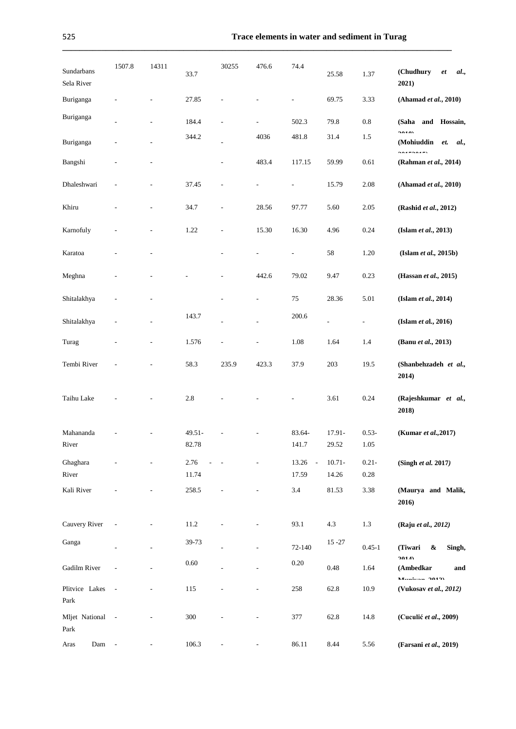**\_\_\_\_\_\_\_\_\_\_\_\_\_\_\_\_\_\_\_\_\_\_\_\_\_\_\_\_\_\_\_\_\_\_\_\_\_\_\_\_\_\_\_\_\_\_\_\_\_\_\_\_\_\_\_\_\_\_\_\_\_\_\_\_\_\_\_\_\_\_\_\_\_\_\_\_\_\_\_\_\_\_\_\_\_\_\_\_\_\_**

| Sundarbans<br>Sela River | 1507.8 | 14311                    | 33.7            | 30255                    | 476.6                        | 74.4                     | 25.58              | 1.37                     | (Chudhury<br>al.,<br>et<br>2021)                    |
|--------------------------|--------|--------------------------|-----------------|--------------------------|------------------------------|--------------------------|--------------------|--------------------------|-----------------------------------------------------|
| Buriganga                |        |                          | 27.85           |                          |                              | $\overline{a}$           | 69.75              | 3.33                     | (Ahamad et al., 2010)                               |
| Buriganga                |        |                          | 184.4           | $\overline{a}$           | $\qquad \qquad \blacksquare$ | 502.3                    | 79.8               | 0.8                      | and Hossain,<br>(Saha                               |
| Buriganga                |        |                          | 344.2           |                          | 4036                         | 481.8                    | 31.4               | 1.5                      | AAA<br>(Mohiuddin<br>et.<br>al.,                    |
| Bangshi                  |        |                          |                 |                          | 483.4                        | 117.15                   | 59.99              | 0.61                     | 0.470015<br>(Rahman et al., 2014)                   |
| Dhaleshwari              |        |                          | 37.45           | $\overline{\phantom{a}}$ | $\qquad \qquad \blacksquare$ | $\overline{\phantom{a}}$ | 15.79              | 2.08                     | (Ahamad et al., 2010)                               |
| Khiru                    |        |                          | 34.7            | $\overline{\phantom{a}}$ | 28.56                        | 97.77                    | 5.60               | 2.05                     | (Rashid et al., 2012)                               |
| Karnofuly                |        |                          | 1.22            | $\overline{\phantom{a}}$ | 15.30                        | 16.30                    | 4.96               | 0.24                     | (Islam et al., 2013)                                |
| Karatoa                  |        |                          |                 |                          | $\qquad \qquad \blacksquare$ | $\overline{\phantom{a}}$ | 58                 | 1.20                     | (Islam et al., 2015b)                               |
| Meghna                   |        |                          |                 | L,                       | 442.6                        | 79.02                    | 9.47               | 0.23                     | (Hassan et al., 2015)                               |
| Shitalakhya              |        |                          |                 | $\overline{a}$           | $\overline{\phantom{a}}$     | 75                       | 28.36              | 5.01                     | (Islam et al., 2014)                                |
| Shitalakhya              |        |                          | 143.7           |                          |                              | 200.6                    | $\frac{1}{2}$      | $\overline{\phantom{a}}$ | (Islam et al., 2016)                                |
| Turag                    |        |                          | 1.576           |                          |                              | 1.08                     | 1.64               | 1.4                      | (Banu et al., 2013)                                 |
| Tembi River              |        |                          | 58.3            | 235.9                    | 423.3                        | 37.9                     | 203                | 19.5                     | (Shanbehzadeh et al.,<br>2014)                      |
| Taihu Lake               |        |                          | 2.8             |                          |                              |                          | 3.61               | 0.24                     | (Rajeshkumar et al.,<br>2018)                       |
| Mahananda<br>River       |        |                          | 49.51-<br>82.78 |                          |                              | 83.64-<br>141.7          | 17.91-<br>29.52    | $0.53 -$<br>1.05         | (Kumar et al., 2017)                                |
| Ghaghara<br>River        |        |                          | 2.76<br>11.74   |                          |                              | 13.26<br>$\sim$<br>17.59 | $10.71 -$<br>14.26 | $0.21 -$<br>$0.28\,$     | (Singh et al. 2017)                                 |
| Kali River               |        |                          | 258.5           |                          | $\overline{a}$               | 3.4                      | 81.53              | 3.38                     | (Maurya and Malik,<br>2016)                         |
| Cauvery River            |        |                          | $11.2\,$        |                          |                              | 93.1                     | 4.3                | $1.3\,$                  | (Raju et al., 2012)                                 |
| Ganga                    |        |                          | 39-73           |                          |                              | 72-140                   | $15 - 27$          | $0.45 - 1$               | Singh,<br>(Tiwari<br>&                              |
| Gadilm River             |        |                          | 0.60            |                          |                              | $0.20\,$                 | 0.48               | 1.64                     | 1014)<br>(Ambedkar<br>and                           |
| Plitvice Lakes<br>Park   | $\sim$ |                          | 115             |                          |                              | 258                      | 62.8               | 10.9                     | $M_{\text{total}} = 2012$<br>(Vukosav et al., 2012) |
| Mljet National<br>Park   | $\sim$ |                          | 300             |                          |                              | 377                      | 62.8               | 14.8                     | (Cuculić et al., 2009)                              |
| Dam<br>Aras              | $\sim$ | $\overline{\phantom{a}}$ | 106.3           | $\overline{\phantom{a}}$ | $\overline{\phantom{a}}$     | 86.11                    | 8.44               | 5.56                     | (Farsani et al., 2019)                              |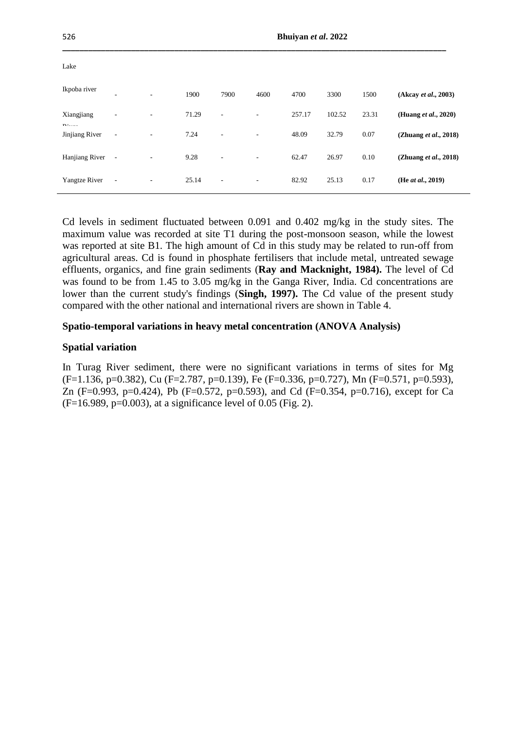| 526                        |                          |    | Bhuiyan et al. 2022 |                          |                          |        |        |       |                          |  |  |
|----------------------------|--------------------------|----|---------------------|--------------------------|--------------------------|--------|--------|-------|--------------------------|--|--|
| Lake                       |                          |    |                     |                          |                          |        |        |       |                          |  |  |
| Ikpoba river               | ۰                        | ۰. | 1900                | 7900                     | 4600                     | 4700   | 3300   | 1500  | (Akcay et al., 2003)     |  |  |
| Xiangjiang<br>$\mathbf{r}$ | ۰                        |    | 71.29               | ٠                        | $\overline{\phantom{a}}$ | 257.17 | 102.52 | 23.31 | (Huang et al., 2020)     |  |  |
| Jinjiang River             | $\overline{\phantom{m}}$ |    | 7.24                |                          | $\overline{\phantom{a}}$ | 48.09  | 32.79  | 0.07  | (Zhuang et al., 2018)    |  |  |
| Hanjiang River             | $\overline{\phantom{a}}$ |    | 9.28                | $\overline{\phantom{a}}$ | $\overline{\phantom{a}}$ | 62.47  | 26.97  | 0.10  | (Zhuang $et al., 2018$ ) |  |  |
| <b>Yangtze River</b>       | $\overline{\phantom{a}}$ |    | 25.14               | $\overline{\phantom{a}}$ | $\overline{\phantom{a}}$ | 82.92  | 25.13  | 0.17  | (He at al., 2019)        |  |  |

Cd levels in sediment fluctuated between 0.091 and 0.402 mg/kg in the study sites. The maximum value was recorded at site T1 during the post-monsoon season, while the lowest was reported at site B1. The high amount of Cd in this study may be related to run-off from agricultural areas. Cd is found in phosphate fertilisers that include metal, untreated sewage effluents, organics, and fine grain sediments (**Ray and Macknight, 1984).** The level of Cd was found to be from 1.45 to 3.05 mg/kg in the Ganga River, India. Cd concentrations are lower than the current study's findings (**Singh, 1997).** The Cd value of the present study compared with the other national and international rivers are shown in Table 4.

# **Spatio-temporal variations in heavy metal concentration (ANOVA Analysis)**

## **Spatial variation**

In Turag River sediment, there were no significant variations in terms of sites for Mg  $(F=1.136, p=0.382)$ , Cu  $(F=2.787, p=0.139)$ , Fe  $(F=0.336, p=0.727)$ , Mn  $(F=0.571, p=0.593)$ , Zn (F=0.993, p=0.424), Pb (F=0.572, p=0.593), and Cd (F=0.354, p=0.716), except for Ca  $(F=16.989, p=0.003)$ , at a significance level of 0.05 (Fig. 2).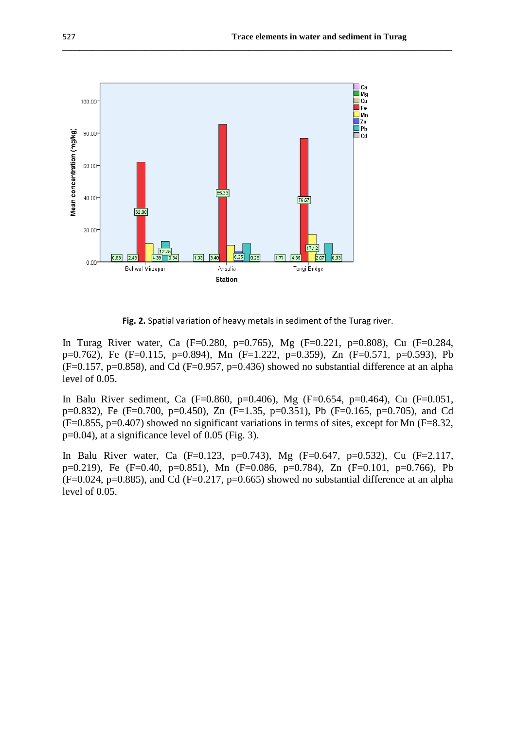

**Fig. 2.** Spatial variation of heavy metals in sediment of the Turag river.

**\_\_\_\_\_\_\_\_\_\_\_\_\_\_\_\_\_\_\_\_\_\_\_\_\_\_\_\_\_\_\_\_\_\_\_\_\_\_\_\_\_\_\_\_\_\_\_\_\_\_\_\_\_\_\_\_\_\_\_\_\_\_\_\_\_\_\_\_\_\_\_\_\_\_\_\_\_\_\_\_\_\_\_\_\_\_\_\_\_\_**

In Turag River water, Ca (F=0.280, p=0.765), Mg (F=0.221, p=0.808), Cu (F=0.284, p=0.762), Fe (F=0.115, p=0.894), Mn (F=1.222, p=0.359), Zn (F=0.571, p=0.593), Pb  $(F=0.157, p=0.858)$ , and Cd  $(F=0.957, p=0.436)$  showed no substantial difference at an alpha level of 0.05.

In Balu River sediment, Ca (F=0.860, p=0.406), Mg (F=0.654, p=0.464), Cu (F=0.051, p=0.832), Fe (F=0.700, p=0.450), Zn (F=1.35, p=0.351), Pb (F=0.165, p=0.705), and Cd (F=0.855, p=0.407) showed no significant variations in terms of sites, except for Mn (F=8.32, p=0.04), at a significance level of 0.05 (Fig. 3).

In Balu River water, Ca (F=0.123, p=0.743), Mg (F=0.647, p=0.532), Cu (F=2.117, p=0.219), Fe (F=0.40, p=0.851), Mn (F=0.086, p=0.784), Zn (F=0.101, p=0.766), Pb  $(F=0.024, p=0.885)$ , and Cd  $(F=0.217, p=0.665)$  showed no substantial difference at an alpha level of 0.05.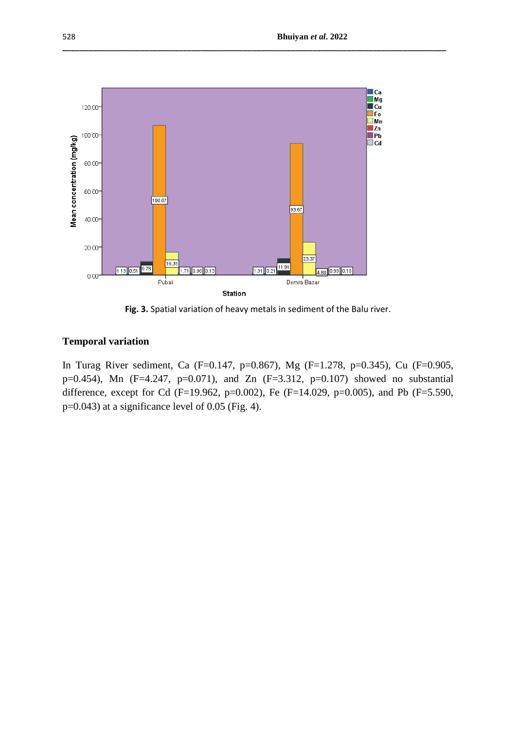

**Fig. 3.** Spatial variation of heavy metals in sediment of the Balu river.

**\_\_\_\_\_\_\_\_\_\_\_\_\_\_\_\_\_\_\_\_\_\_\_\_\_\_\_\_\_\_\_\_\_\_\_\_\_\_\_\_\_\_\_\_\_\_\_\_\_\_\_\_\_\_\_\_\_\_\_\_\_\_\_\_\_\_\_\_\_\_\_\_\_\_\_\_\_\_\_\_\_\_\_\_\_\_\_\_\_**

# **Temporal variation**

In Turag River sediment, Ca (F=0.147, p=0.867), Mg (F=1.278, p=0.345), Cu (F=0.905, p=0.454), Mn (F=4.247, p=0.071), and Zn (F=3.312, p=0.107) showed no substantial difference, except for Cd (F=19.962, p=0.002), Fe (F=14.029, p=0.005), and Pb (F=5.590, p=0.043) at a significance level of 0.05 (Fig. 4).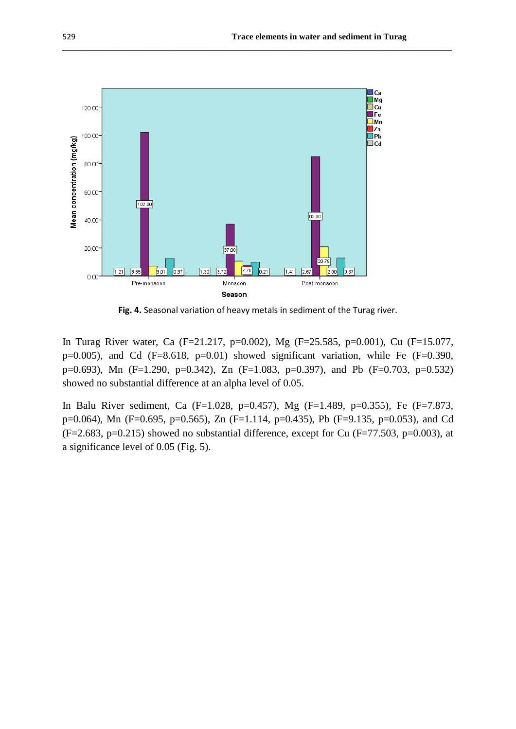

**Fig. 4.** Seasonal variation of heavy metals in sediment of the Turag river.

**\_\_\_\_\_\_\_\_\_\_\_\_\_\_\_\_\_\_\_\_\_\_\_\_\_\_\_\_\_\_\_\_\_\_\_\_\_\_\_\_\_\_\_\_\_\_\_\_\_\_\_\_\_\_\_\_\_\_\_\_\_\_\_\_\_\_\_\_\_\_\_\_\_\_\_\_\_\_\_\_\_\_\_\_\_\_\_\_\_\_**

In Turag River water, Ca (F=21.217, p=0.002), Mg (F=25.585, p=0.001), Cu (F=15.077,  $p=0.005$ ), and Cd (F=8.618,  $p=0.01$ ) showed significant variation, while Fe (F=0.390, p=0.693), Mn (F=1.290, p=0.342), Zn (F=1.083, p=0.397), and Pb (F=0.703, p=0.532) showed no substantial difference at an alpha level of 0.05.

In Balu River sediment, Ca (F=1.028, p=0.457), Mg (F=1.489, p=0.355), Fe (F=7.873, p=0.064), Mn (F=0.695, p=0.565), Zn (F=1.114, p=0.435), Pb (F=9.135, p=0.053), and Cd  $(F=2.683, p=0.215)$  showed no substantial difference, except for Cu  $(F=77.503, p=0.003)$ , at a significance level of 0.05 (Fig. 5).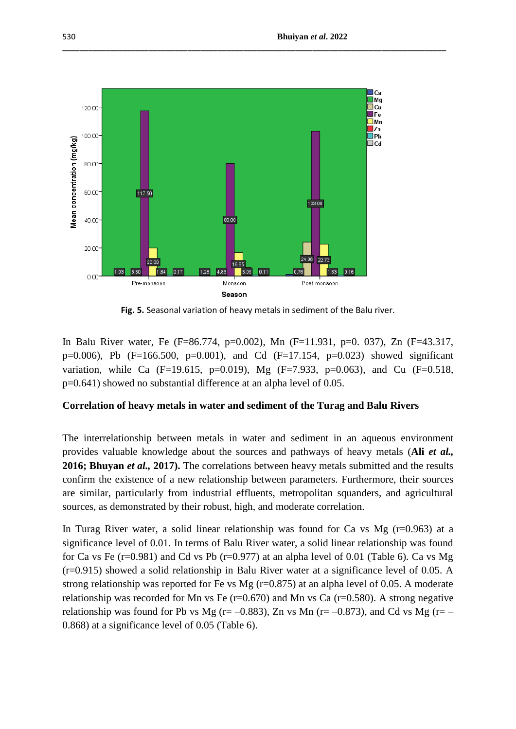

**Fig. 5.** Seasonal variation of heavy metals in sediment of the Balu river.

**\_\_\_\_\_\_\_\_\_\_\_\_\_\_\_\_\_\_\_\_\_\_\_\_\_\_\_\_\_\_\_\_\_\_\_\_\_\_\_\_\_\_\_\_\_\_\_\_\_\_\_\_\_\_\_\_\_\_\_\_\_\_\_\_\_\_\_\_\_\_\_\_\_\_\_\_\_\_\_\_\_\_\_\_\_\_\_\_\_**

In Balu River water, Fe (F=86.774, p=0.002), Mn (F=11.931, p=0. 037), Zn (F=43.317, p=0.006), Pb (F=166.500, p=0.001), and Cd (F=17.154, p=0.023) showed significant variation, while Ca (F=19.615, p=0.019), Mg (F=7.933, p=0.063), and Cu (F=0.518, p=0.641) showed no substantial difference at an alpha level of 0.05.

# **Correlation of heavy metals in water and sediment of the Turag and Balu Rivers**

The interrelationship between metals in water and sediment in an aqueous environment provides valuable knowledge about the sources and pathways of heavy metals (**Ali** *et al.,* **2016; Bhuyan** *et al.,* **2017).** The correlations between heavy metals submitted and the results confirm the existence of a new relationship between parameters. Furthermore, their sources are similar, particularly from industrial effluents, metropolitan squanders, and agricultural sources, as demonstrated by their robust, high, and moderate correlation.

In Turag River water, a solid linear relationship was found for Ca vs Mg  $(r=0.963)$  at a significance level of 0.01. In terms of Balu River water, a solid linear relationship was found for Ca vs Fe ( $r=0.981$ ) and Cd vs Pb ( $r=0.977$ ) at an alpha level of 0.01 (Table 6). Ca vs Mg (r=0.915) showed a solid relationship in Balu River water at a significance level of 0.05. A strong relationship was reported for Fe vs Mg  $(r=0.875)$  at an alpha level of 0.05. A moderate relationship was recorded for Mn vs Fe ( $r=0.670$ ) and Mn vs Ca ( $r=0.580$ ). A strong negative relationship was found for Pb vs Mg ( $r=-0.883$ ), Zn vs Mn ( $r=-0.873$ ), and Cd vs Mg ( $r=-$ 0.868) at a significance level of 0.05 (Table 6).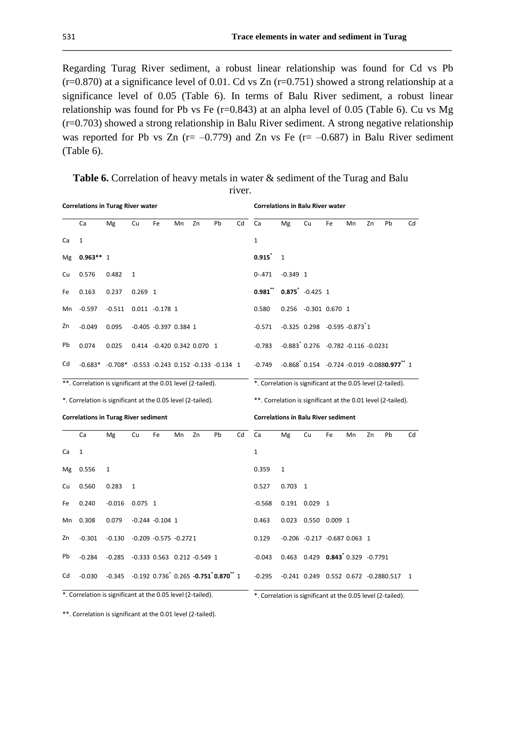Regarding Turag River sediment, a robust linear relationship was found for Cd vs Pb  $(r=0.870)$  at a significance level of 0.01. Cd vs Zn  $(r=0.751)$  showed a strong relationship at a significance level of 0.05 (Table 6). In terms of Balu River sediment, a robust linear relationship was found for Pb vs Fe  $(r=0.843)$  at an alpha level of 0.05 (Table 6). Cu vs Mg (r=0.703) showed a strong relationship in Balu River sediment. A strong negative relationship was reported for Pb vs Zn ( $r = -0.779$ ) and Zn vs Fe ( $r = -0.687$ ) in Balu River sediment (Table 6).

**\_\_\_\_\_\_\_\_\_\_\_\_\_\_\_\_\_\_\_\_\_\_\_\_\_\_\_\_\_\_\_\_\_\_\_\_\_\_\_\_\_\_\_\_\_\_\_\_\_\_\_\_\_\_\_\_\_\_\_\_\_\_\_\_\_\_\_\_\_\_\_\_\_\_\_\_\_\_\_\_\_\_\_\_\_\_\_\_\_\_**

|    | <b>Correlations in Turag River water</b>                     |                                                                 |              |                             |    |    |                                                                                   |                                                              |                                                             | <b>Correlations in Balu River water</b> |                                                                         |    |    |    |    |              |
|----|--------------------------------------------------------------|-----------------------------------------------------------------|--------------|-----------------------------|----|----|-----------------------------------------------------------------------------------|--------------------------------------------------------------|-------------------------------------------------------------|-----------------------------------------|-------------------------------------------------------------------------|----|----|----|----|--------------|
|    | Ca                                                           | Mg                                                              | Cu           | Fe                          | Mn | Zn | Pb                                                                                | Cd                                                           | Ca                                                          | Mg                                      | Cu                                                                      | Fe | Mn | Zn | Pb | Cd           |
| Ca | 1                                                            |                                                                 |              |                             |    |    |                                                                                   |                                                              | $\mathbf{1}$                                                |                                         |                                                                         |    |    |    |    |              |
| Mg | $0.963**1$                                                   |                                                                 |              |                             |    |    |                                                                                   |                                                              | 0.915                                                       | $\mathbf{1}$                            |                                                                         |    |    |    |    |              |
| Cu | 0.576                                                        | 0.482                                                           | 1            |                             |    |    |                                                                                   |                                                              | $0 - .471$                                                  | $-0.349$ 1                              |                                                                         |    |    |    |    |              |
| Fe | 0.163                                                        | 0.237                                                           | $0.269$ 1    |                             |    |    |                                                                                   |                                                              | 0.981                                                       |                                         | $0.875$ <sup>*</sup> -0.425 1                                           |    |    |    |    |              |
| Mn | $-0.597$                                                     | $-0.511$                                                        |              | $0.011 - 0.178$ 1           |    |    |                                                                                   |                                                              | 0.580                                                       |                                         | 0.256 -0.301 0.670 1                                                    |    |    |    |    |              |
| Zn | $-0.049$                                                     | 0.095                                                           |              | $-0.405 -0.397 0.384 1$     |    |    |                                                                                   |                                                              | $-0.571$                                                    |                                         | $-0.325$ 0.298 $-0.595$ $-0.873$ 1                                      |    |    |    |    |              |
| Pb | 0.074                                                        | 0.025                                                           |              | 0.414 -0.420 0.342 0.070 1  |    |    |                                                                                   |                                                              | $-0.783$                                                    |                                         | $-0.883$ <sup>*</sup> $0.276$ $-0.782$ $-0.116$ $-0.0231$               |    |    |    |    |              |
| Cd |                                                              | $-0.683*$ $-0.708*$ $-0.553$ $-0.243$ 0.152 $-0.133$ $-0.134$ 1 |              |                             |    |    |                                                                                   |                                                              | $-0.749$                                                    |                                         | $-0.868$ <sup>*</sup> 0.154 $-0.724$ -0.019 -0.0880.977 <sup>**</sup> 1 |    |    |    |    |              |
|    | **. Correlation is significant at the 0.01 level (2-tailed). |                                                                 |              |                             |    |    |                                                                                   |                                                              | *. Correlation is significant at the 0.05 level (2-tailed). |                                         |                                                                         |    |    |    |    |              |
|    | *. Correlation is significant at the 0.05 level (2-tailed).  |                                                                 |              |                             |    |    |                                                                                   | **. Correlation is significant at the 0.01 level (2-tailed). |                                                             |                                         |                                                                         |    |    |    |    |              |
|    | <b>Correlations in Turag River sediment</b>                  |                                                                 |              |                             |    |    |                                                                                   |                                                              | <b>Correlations in Balu River sediment</b>                  |                                         |                                                                         |    |    |    |    |              |
|    | Ca                                                           | Mg                                                              | Cu           | Fe                          | Mn | Zn | Pb                                                                                | Cd                                                           | Ca                                                          | Mg                                      | Cu                                                                      | Fe | Mn | Zn | Pb | Cd           |
| Ca | 1                                                            |                                                                 |              |                             |    |    |                                                                                   |                                                              | $\mathbf{1}$                                                |                                         |                                                                         |    |    |    |    |              |
| Mg | 0.556                                                        | $\mathbf{1}$                                                    |              |                             |    |    |                                                                                   |                                                              | 0.359                                                       | $\mathbf{1}$                            |                                                                         |    |    |    |    |              |
| Cu | 0.560                                                        | 0.283                                                           | $\mathbf{1}$ |                             |    |    |                                                                                   |                                                              | 0.527                                                       | $0.703$ 1                               |                                                                         |    |    |    |    |              |
| Fe | 0.240                                                        | $-0.016$                                                        | $0.075$ 1    |                             |    |    |                                                                                   |                                                              | $-0.568$                                                    |                                         | $0.191$ $0.029$ 1                                                       |    |    |    |    |              |
| Mn | 0.308                                                        | 0.079                                                           |              | $-0.244 - 0.104$ 1          |    |    |                                                                                   |                                                              | 0.463                                                       |                                         | 0.023  0.550  0.009  1                                                  |    |    |    |    |              |
| Zn | $-0.301$                                                     | $-0.130$                                                        |              | $-0.209 -0.575 -0.2721$     |    |    |                                                                                   |                                                              | 0.129                                                       |                                         | $-0.206$ $-0.217$ $-0.687$ 0.063 1                                      |    |    |    |    |              |
| Pb | $-0.284$                                                     | $-0.285$                                                        |              | -0.333 0.563 0.212 -0.549 1 |    |    |                                                                                   |                                                              | $-0.043$                                                    |                                         | $0.463$ $0.429$ $0.843$ $0.329$ $-0.7791$                               |    |    |    |    |              |
| Cd | $-0.030$                                                     | $-0.345$                                                        |              |                             |    |    | $-0.192$ $0.736$ <sup>*</sup> $0.265$ $-0.751$ <sup>*</sup> 0.870 <sup>**</sup> 1 |                                                              | $-0.295$                                                    |                                         | $-0.241$ $0.249$ $0.552$ $0.672$ $-0.2880.517$                          |    |    |    |    | $\mathbf{1}$ |

**Table 6.** Correlation of heavy metals in water & sediment of the Turag and Balu

river.

\*. Correlation is significant at the 0.05 level (2-tailed). \*. Correlation is significant at the 0.05 level (2-tailed).

\*\*. Correlation is significant at the 0.01 level (2-tailed).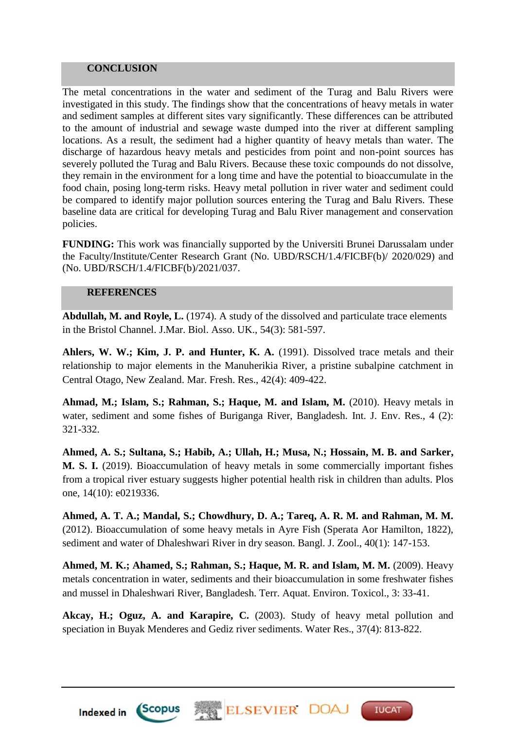# **CONCLUSION**

The metal concentrations in the water and sediment of the Turag and Balu Rivers were investigated in this study. The findings show that the concentrations of heavy metals in water and sediment samples at different sites vary significantly. These differences can be attributed to the amount of industrial and sewage waste dumped into the river at different sampling locations. As a result, the sediment had a higher quantity of heavy metals than water. The discharge of hazardous heavy metals and pesticides from point and non-point sources has severely polluted the Turag and Balu Rivers. Because these toxic compounds do not dissolve, they remain in the environment for a long time and have the potential to bioaccumulate in the food chain, posing long-term risks. Heavy metal pollution in river water and sediment could be compared to identify major pollution sources entering the Turag and Balu Rivers. These baseline data are critical for developing Turag and Balu River management and conservation policies.

**FUNDING:** This work was financially supported by the Universiti Brunei Darussalam under the Faculty/Institute/Center Research Grant (No. UBD/RSCH/1.4/FICBF(b)/ 2020/029) and (No. UBD/RSCH/1.4/FICBF(b)/2021/037.

## **REFERENCES**

**Abdullah, M. and Royle, L.** (1974). A study of the dissolved and particulate trace elements in the Bristol Channel. J.Mar. Biol. Asso. UK., 54(3): 581-597.

**Ahlers, W. W.; Kim, J. P. and Hunter, K. A.** (1991). Dissolved trace metals and their relationship to major elements in the Manuherikia River, a pristine subalpine catchment in Central Otago, New Zealand. Mar. Fresh. Res., 42(4): 409-422.

**Ahmad, M.; Islam, S.; Rahman, S.; Haque, M. and Islam, M.** (2010). Heavy metals in water, sediment and some fishes of Buriganga River, Bangladesh. Int. J. Env. Res., 4 (2): 321-332.

**Ahmed, A. S.; Sultana, S.; Habib, A.; Ullah, H.; Musa, N.; Hossain, M. B. and Sarker, M. S. I.** (2019). Bioaccumulation of heavy metals in some commercially important fishes from a tropical river estuary suggests higher potential health risk in children than adults. Plos one, 14(10): e0219336.

**Ahmed, A. T. A.; Mandal, S.; Chowdhury, D. A.; Tareq, A. R. M. and Rahman, M. M.**  (2012). Bioaccumulation of some heavy metals in Ayre Fish (Sperata Aor Hamilton, 1822), sediment and water of Dhaleshwari River in dry season. Bangl. J. Zool., 40(1): 147-153.

**Ahmed, M. K.; Ahamed, S.; Rahman, S.; Haque, M. R. and Islam, M. M.** (2009). Heavy metals concentration in water, sediments and their bioaccumulation in some freshwater fishes and mussel in Dhaleshwari River, Bangladesh. Terr. Aquat. Environ. Toxicol., 3: 33-41.

**Akcay, H.; Oguz, A. and Karapire, C.** (2003). Study of heavy metal pollution and speciation in Buyak Menderes and Gediz river sediments. Water Res., 37(4): 813-822.

**TUCAT** 



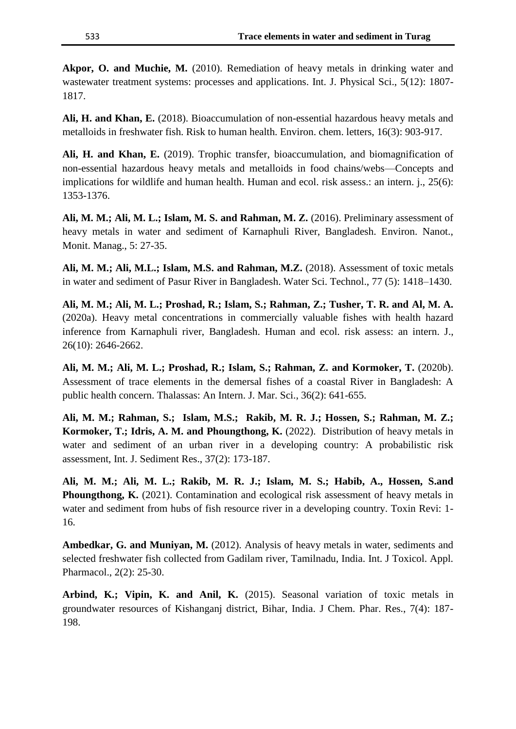**Akpor, O. and Muchie, M.** (2010). Remediation of heavy metals in drinking water and wastewater treatment systems: processes and applications. Int. J. Physical Sci., 5(12): 1807-1817.

**Ali, H. and Khan, E.** (2018). Bioaccumulation of non-essential hazardous heavy metals and metalloids in freshwater fish. Risk to human health. Environ. chem. letters, 16(3): 903-917.

**Ali, H. and Khan, E.** (2019). Trophic transfer, bioaccumulation, and biomagnification of non-essential hazardous heavy metals and metalloids in food chains/webs—Concepts and implications for wildlife and human health. Human and ecol. risk assess.: an intern. *i.*, 25(6): 1353-1376.

**Ali, M. M.; Ali, M. L.; Islam, M. S. and Rahman, M. Z.** (2016). Preliminary assessment of heavy metals in water and sediment of Karnaphuli River, Bangladesh. Environ. Nanot., Monit. Manag., 5: 27-35.

**Ali, M. M.; Ali, M.L.; Islam, M.S. and Rahman, M.Z.** (2018). Assessment of toxic metals in water and sediment of Pasur River in Bangladesh. Water Sci. Technol., 77 (5): 1418–1430.

**Ali, M. M.; Ali, M. L.; Proshad, R.; Islam, S.; Rahman, Z.; Tusher, T. R. and Al, M. A.** (2020a). Heavy metal concentrations in commercially valuable fishes with health hazard inference from Karnaphuli river, Bangladesh. Human and ecol. risk assess: an intern. J., 26(10): 2646-2662.

**Ali, M. M.; Ali, M. L.; Proshad, R.; Islam, S.; Rahman, Z. and Kormoker, T.** (2020b). Assessment of trace elements in the demersal fishes of a coastal River in Bangladesh: A public health concern. Thalassas: An Intern. J. Mar. Sci., 36(2): 641-655.

**Ali, M. M.; Rahman, S.; Islam, M.S.; Rakib, M. R. J.; Hossen, S.; Rahman, M. Z.; Kormoker, T.; Idris, A. M. and Phoungthong, K.** (2022). Distribution of heavy metals in water and sediment of an urban river in a developing country: A probabilistic risk assessment, Int. J. Sediment Res., 37(2): 173-187.

**Ali, M. M.; Ali, M. L.; Rakib, M. R. J.; Islam, M. S.; Habib, A., Hossen, S.and Phoungthong, K.** (2021). Contamination and ecological risk assessment of heavy metals in water and sediment from hubs of fish resource river in a developing country. Toxin Revi: 1- 16.

**Ambedkar, G. and Muniyan, M.** (2012). Analysis of heavy metals in water, sediments and selected freshwater fish collected from Gadilam river, Tamilnadu, India. Int. J Toxicol. Appl. Pharmacol., 2(2): 25-30.

**Arbind, K.; Vipin, K. and Anil, K.** (2015). Seasonal variation of toxic metals in groundwater resources of Kishanganj district, Bihar, India. J Chem. Phar. Res., 7(4): 187- 198.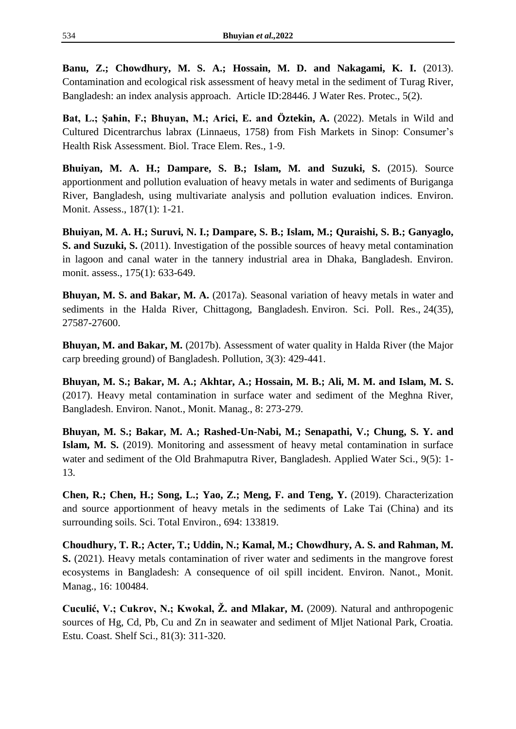**Banu, Z.; Chowdhury, M. S. A.; Hossain, M. D. and Nakagami, K. I.** (2013). Contamination and ecological risk assessment of heavy metal in the sediment of Turag River, Bangladesh: an index analysis approach. Article ID:28446. J Water Res. Protec., 5(2).

**Bat, L.; Şahin, F.; Bhuyan, M.; Arici, E. and Öztekin, A.** (2022). Metals in Wild and Cultured Dicentrarchus labrax (Linnaeus, 1758) from Fish Markets in Sinop: Consumer's Health Risk Assessment. Biol. Trace Elem. Res., 1-9.

**Bhuiyan, M. A. H.; Dampare, S. B.; Islam, M. and Suzuki, S.** (2015). Source apportionment and pollution evaluation of heavy metals in water and sediments of Buriganga River, Bangladesh, using multivariate analysis and pollution evaluation indices. Environ. Monit. Assess., 187(1): 1-21.

**Bhuiyan, M. A. H.; Suruvi, N. I.; Dampare, S. B.; Islam, M.; Quraishi, S. B.; Ganyaglo, S. and Suzuki, S.** (2011). Investigation of the possible sources of heavy metal contamination in lagoon and canal water in the tannery industrial area in Dhaka, Bangladesh. Environ. monit. assess., 175(1): 633-649.

**Bhuyan, M. S. and Bakar, M. A.** (2017a). Seasonal variation of heavy metals in water and sediments in the Halda River, Chittagong, Bangladesh. Environ. Sci. Poll. Res., 24(35), 27587-27600.

**Bhuyan, M. and Bakar, M.** (2017b). Assessment of water quality in Halda River (the Major carp breeding ground) of Bangladesh. Pollution, 3(3): 429-441.

**Bhuyan, M. S.; Bakar, M. A.; Akhtar, A.; Hossain, M. B.; Ali, M. M. and Islam, M. S.** (2017). Heavy metal contamination in surface water and sediment of the Meghna River, Bangladesh. Environ. Nanot., Monit. Manag., 8: 273-279.

**Bhuyan, M. S.; Bakar, M. A.; Rashed-Un-Nabi, M.; Senapathi, V.; Chung, S. Y. and Islam, M. S.** (2019). Monitoring and assessment of heavy metal contamination in surface water and sediment of the Old Brahmaputra River, Bangladesh. Applied Water Sci., 9(5): 1- 13.

**Chen, R.; Chen, H.; Song, L.; Yao, Z.; Meng, F. and Teng, Y.** (2019). Characterization and source apportionment of heavy metals in the sediments of Lake Tai (China) and its surrounding soils. Sci. Total Environ., 694: 133819.

**Choudhury, T. R.; Acter, T.; Uddin, N.; Kamal, M.; Chowdhury, A. S. and Rahman, M. S.** (2021). Heavy metals contamination of river water and sediments in the mangrove forest ecosystems in Bangladesh: A consequence of oil spill incident. Environ. Nanot., Monit. Manag., 16: 100484.

**Cuculić, V.; Cukrov, N.; Kwokal, Ž. and Mlakar, M.** (2009). Natural and anthropogenic sources of Hg, Cd, Pb, Cu and Zn in seawater and sediment of Mljet National Park, Croatia. Estu. Coast. Shelf Sci., 81(3): 311-320.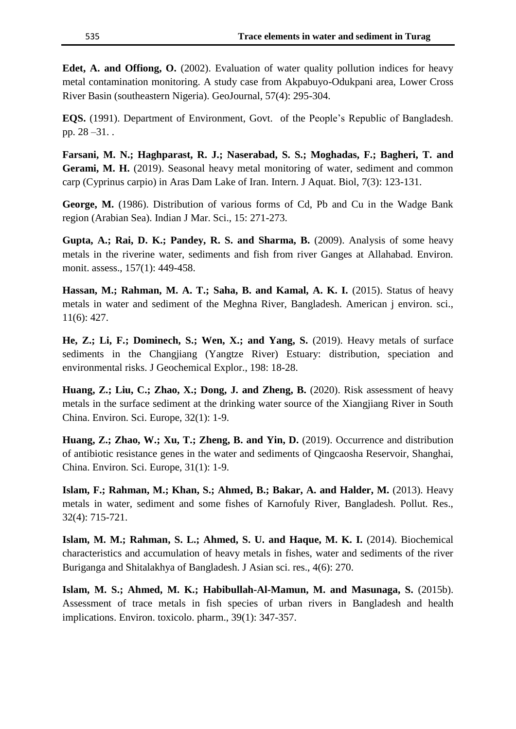**Edet, A. and Offiong, O.** (2002). Evaluation of water quality pollution indices for heavy metal contamination monitoring. A study case from Akpabuyo-Odukpani area, Lower Cross River Basin (southeastern Nigeria). GeoJournal, 57(4): 295-304.

**EQS.** (1991). Department of Environment, Govt. of the People's Republic of Bangladesh. pp. 28 –31. .

**Farsani, M. N.; Haghparast, R. J.; Naserabad, S. S.; Moghadas, F.; Bagheri, T. and Gerami, M. H.** (2019). Seasonal heavy metal monitoring of water, sediment and common carp (Cyprinus carpio) in Aras Dam Lake of Iran. Intern. J Aquat. Biol, 7(3): 123-131.

**George, M.** (1986). Distribution of various forms of Cd, Pb and Cu in the Wadge Bank region (Arabian Sea). Indian J Mar. Sci., 15: 271-273.

**Gupta, A.; Rai, D. K.; Pandey, R. S. and Sharma, B.** (2009). Analysis of some heavy metals in the riverine water, sediments and fish from river Ganges at Allahabad. Environ. monit. assess., 157(1): 449-458.

**Hassan, M.; Rahman, M. A. T.; Saha, B. and Kamal, A. K. I.** (2015). Status of heavy metals in water and sediment of the Meghna River, Bangladesh. American j environ. sci., 11(6): 427.

**He, Z.; Li, F.; Dominech, S.; Wen, X.; and Yang, S.** (2019). Heavy metals of surface sediments in the Changjiang (Yangtze River) Estuary: distribution, speciation and environmental risks. J Geochemical Explor., 198: 18-28.

**Huang, Z.; Liu, C.; Zhao, X.; Dong, J. and Zheng, B.** (2020). Risk assessment of heavy metals in the surface sediment at the drinking water source of the Xiangjiang River in South China. Environ. Sci. Europe, 32(1): 1-9.

**Huang, Z.; Zhao, W.; Xu, T.; Zheng, B. and Yin, D.** (2019). Occurrence and distribution of antibiotic resistance genes in the water and sediments of Qingcaosha Reservoir, Shanghai, China. Environ. Sci. Europe, 31(1): 1-9.

**Islam, F.; Rahman, M.; Khan, S.; Ahmed, B.; Bakar, A. and Halder, M.** (2013). Heavy metals in water, sediment and some fishes of Karnofuly River, Bangladesh. Pollut. Res., 32(4): 715-721.

**Islam, M. M.; Rahman, S. L.; Ahmed, S. U. and Haque, M. K. I.** (2014). Biochemical characteristics and accumulation of heavy metals in fishes, water and sediments of the river Buriganga and Shitalakhya of Bangladesh. J Asian sci. res., 4(6): 270.

**Islam, M. S.; Ahmed, M. K.; Habibullah-Al-Mamun, M. and Masunaga, S.** (2015b). Assessment of trace metals in fish species of urban rivers in Bangladesh and health implications. Environ. toxicolo. pharm., 39(1): 347-357.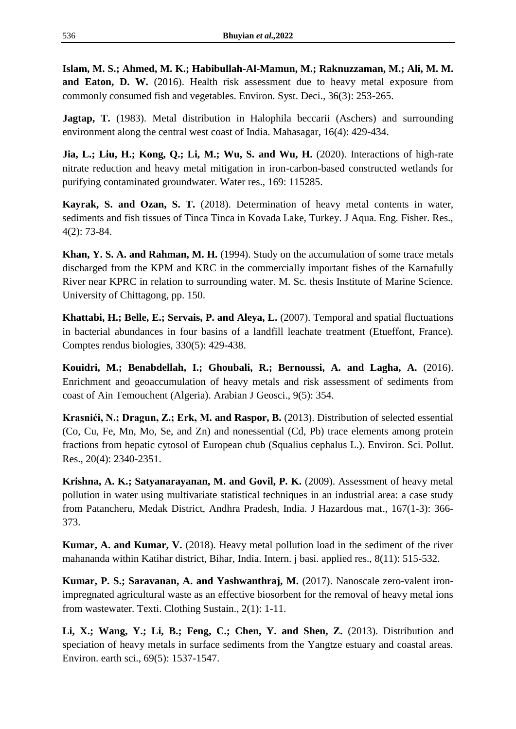**Islam, M. S.; Ahmed, M. K.; Habibullah-Al-Mamun, M.; Raknuzzaman, M.; Ali, M. M. and Eaton, D. W.** (2016). Health risk assessment due to heavy metal exposure from commonly consumed fish and vegetables. Environ. Syst. Deci., 36(3): 253-265.

**Jagtap, T.** (1983). Metal distribution in Halophila beccarii (Aschers) and surrounding environment along the central west coast of India. Mahasagar, 16(4): 429-434.

**Jia, L.; Liu, H.; Kong, Q.; Li, M.; Wu, S. and Wu, H.** (2020). Interactions of high-rate nitrate reduction and heavy metal mitigation in iron-carbon-based constructed wetlands for purifying contaminated groundwater. Water res., 169: 115285.

**Kayrak, S. and Ozan, S. T.** (2018). Determination of heavy metal contents in water, sediments and fish tissues of Tinca Tinca in Kovada Lake, Turkey. J Aqua. Eng. Fisher. Res., 4(2): 73-84.

**Khan, Y. S. A. and Rahman, M. H.** (1994). Study on the accumulation of some trace metals discharged from the KPM and KRC in the commercially important fishes of the Karnafully River near KPRC in relation to surrounding water. M. Sc. thesis Institute of Marine Science. University of Chittagong, pp. 150.

**Khattabi, H.; Belle, E.; Servais, P. and Aleya, L.** (2007). Temporal and spatial fluctuations in bacterial abundances in four basins of a landfill leachate treatment (Etueffont, France). Comptes rendus biologies, 330(5): 429-438.

**Kouidri, M.; Benabdellah, I.; Ghoubali, R.; Bernoussi, A. and Lagha, A.** (2016). Enrichment and geoaccumulation of heavy metals and risk assessment of sediments from coast of Ain Temouchent (Algeria). Arabian J Geosci., 9(5): 354.

**Krasnići, N.; Dragun, Z.; Erk, M. and Raspor, B.** (2013). Distribution of selected essential (Co, Cu, Fe, Mn, Mo, Se, and Zn) and nonessential (Cd, Pb) trace elements among protein fractions from hepatic cytosol of European chub (Squalius cephalus L.). Environ. Sci. Pollut. Res., 20(4): 2340-2351.

**Krishna, A. K.; Satyanarayanan, M. and Govil, P. K.** (2009). Assessment of heavy metal pollution in water using multivariate statistical techniques in an industrial area: a case study from Patancheru, Medak District, Andhra Pradesh, India. J Hazardous mat., 167(1-3): 366- 373.

**Kumar, A. and Kumar, V.** (2018). Heavy metal pollution load in the sediment of the river mahananda within Katihar district, Bihar, India. Intern. j basi. applied res., 8(11): 515-532.

**Kumar, P. S.; Saravanan, A. and Yashwanthraj, M.** (2017). Nanoscale zero-valent ironimpregnated agricultural waste as an effective biosorbent for the removal of heavy metal ions from wastewater. Texti. Clothing Sustain., 2(1): 1-11.

**Li, X.; Wang, Y.; Li, B.; Feng, C.; Chen, Y. and Shen, Z.** (2013). Distribution and speciation of heavy metals in surface sediments from the Yangtze estuary and coastal areas. Environ. earth sci., 69(5): 1537-1547.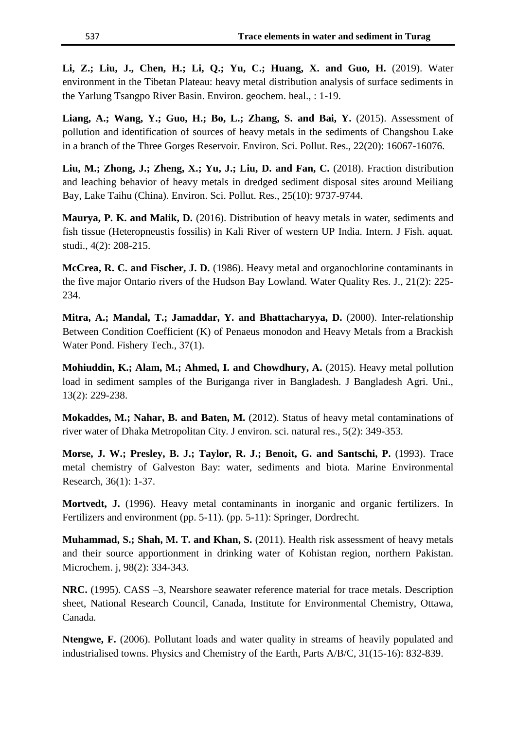**Li, Z.; Liu, J., Chen, H.; Li, Q.; Yu, C.; Huang, X. and Guo, H.** (2019). Water environment in the Tibetan Plateau: heavy metal distribution analysis of surface sediments in the Yarlung Tsangpo River Basin. Environ. geochem. heal., : 1-19.

**Liang, A.; Wang, Y.; Guo, H.; Bo, L.; Zhang, S. and Bai, Y.** (2015). Assessment of pollution and identification of sources of heavy metals in the sediments of Changshou Lake in a branch of the Three Gorges Reservoir. Environ. Sci. Pollut. Res., 22(20): 16067-16076.

**Liu, M.; Zhong, J.; Zheng, X.; Yu, J.; Liu, D. and Fan, C.** (2018). Fraction distribution and leaching behavior of heavy metals in dredged sediment disposal sites around Meiliang Bay, Lake Taihu (China). Environ. Sci. Pollut. Res., 25(10): 9737-9744.

**Maurya, P. K. and Malik, D.** (2016). Distribution of heavy metals in water, sediments and fish tissue (Heteropneustis fossilis) in Kali River of western UP India. Intern. J Fish. aquat. studi., 4(2): 208-215.

**McCrea, R. C. and Fischer, J. D.** (1986). Heavy metal and organochlorine contaminants in the five major Ontario rivers of the Hudson Bay Lowland. Water Quality Res. J., 21(2): 225- 234.

**Mitra, A.; Mandal, T.; Jamaddar, Y. and Bhattacharyya, D.** (2000). Inter-relationship Between Condition Coefficient (K) of Penaeus monodon and Heavy Metals from a Brackish Water Pond. Fishery Tech., 37(1).

**Mohiuddin, K.; Alam, M.; Ahmed, I. and Chowdhury, A.** (2015). Heavy metal pollution load in sediment samples of the Buriganga river in Bangladesh. J Bangladesh Agri. Uni., 13(2): 229-238.

**Mokaddes, M.; Nahar, B. and Baten, M.** (2012). Status of heavy metal contaminations of river water of Dhaka Metropolitan City. J environ. sci. natural res., 5(2): 349-353.

**Morse, J. W.; Presley, B. J.; Taylor, R. J.; Benoit, G. and Santschi, P.** (1993). Trace metal chemistry of Galveston Bay: water, sediments and biota. Marine Environmental Research, 36(1): 1-37.

**Mortvedt, J.** (1996). Heavy metal contaminants in inorganic and organic fertilizers. In Fertilizers and environment (pp. 5-11). (pp. 5-11): Springer, Dordrecht.

**Muhammad, S.; Shah, M. T. and Khan, S.** (2011). Health risk assessment of heavy metals and their source apportionment in drinking water of Kohistan region, northern Pakistan. Microchem. j, 98(2): 334-343.

**NRC.** (1995). CASS –3, Nearshore seawater reference material for trace metals. Description sheet, National Research Council, Canada, Institute for Environmental Chemistry, Ottawa, Canada.

**Ntengwe, F.** (2006). Pollutant loads and water quality in streams of heavily populated and industrialised towns. Physics and Chemistry of the Earth, Parts A/B/C, 31(15-16): 832-839.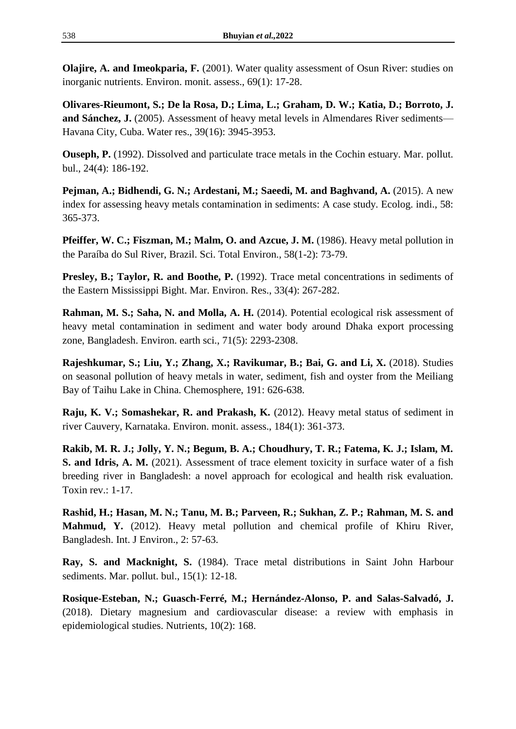**Olajire, A. and Imeokparia, F.** (2001). Water quality assessment of Osun River: studies on inorganic nutrients. Environ. monit. assess., 69(1): 17-28.

**Olivares-Rieumont, S.; De la Rosa, D.; Lima, L.; Graham, D. W.; Katia, D.; Borroto, J. and Sánchez, J.** (2005). Assessment of heavy metal levels in Almendares River sediments— Havana City, Cuba. Water res., 39(16): 3945-3953.

**Ouseph, P.** (1992). Dissolved and particulate trace metals in the Cochin estuary. Mar. pollut. bul., 24(4): 186-192.

**Pejman, A.; Bidhendi, G. N.; Ardestani, M.; Saeedi, M. and Baghvand, A.** (2015). A new index for assessing heavy metals contamination in sediments: A case study. Ecolog. indi., 58: 365-373.

**Pfeiffer, W. C.; Fiszman, M.; Malm, O. and Azcue, J. M.** (1986). Heavy metal pollution in the Paraíba do Sul River, Brazil. Sci. Total Environ., 58(1-2): 73-79.

**Presley, B.; Taylor, R. and Boothe, P.** (1992). Trace metal concentrations in sediments of the Eastern Mississippi Bight. Mar. Environ. Res., 33(4): 267-282.

**Rahman, M. S.; Saha, N. and Molla, A. H.** (2014). Potential ecological risk assessment of heavy metal contamination in sediment and water body around Dhaka export processing zone, Bangladesh. Environ. earth sci., 71(5): 2293-2308.

**Rajeshkumar, S.; Liu, Y.; Zhang, X.; Ravikumar, B.; Bai, G. and Li, X.** (2018). Studies on seasonal pollution of heavy metals in water, sediment, fish and oyster from the Meiliang Bay of Taihu Lake in China. Chemosphere, 191: 626-638.

**Raju, K. V.; Somashekar, R. and Prakash, K.** (2012). Heavy metal status of sediment in river Cauvery, Karnataka. Environ. monit. assess., 184(1): 361-373.

**Rakib, M. R. J.; Jolly, Y. N.; Begum, B. A.; Choudhury, T. R.; Fatema, K. J.; Islam, M. S. and Idris, A. M.** (2021). Assessment of trace element toxicity in surface water of a fish breeding river in Bangladesh: a novel approach for ecological and health risk evaluation. Toxin rev.: 1-17.

**Rashid, H.; Hasan, M. N.; Tanu, M. B.; Parveen, R.; Sukhan, Z. P.; Rahman, M. S. and Mahmud, Y.** (2012). Heavy metal pollution and chemical profile of Khiru River, Bangladesh. Int. J Environ., 2: 57-63.

**Ray, S. and Macknight, S.** (1984). Trace metal distributions in Saint John Harbour sediments. Mar. pollut. bul., 15(1): 12-18.

**Rosique-Esteban, N.; Guasch-Ferré, M.; Hernández-Alonso, P. and Salas-Salvadó, J.** (2018). Dietary magnesium and cardiovascular disease: a review with emphasis in epidemiological studies. Nutrients, 10(2): 168.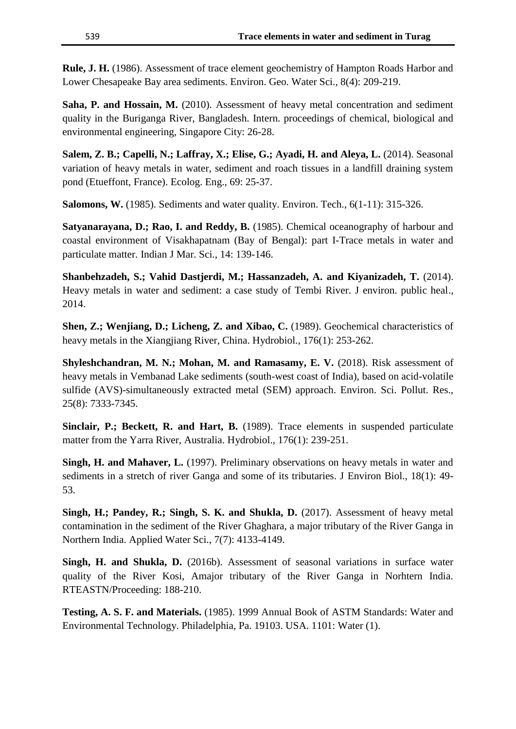**Rule, J. H.** (1986). Assessment of trace element geochemistry of Hampton Roads Harbor and Lower Chesapeake Bay area sediments. Environ. Geo. Water Sci., 8(4): 209-219.

**Saha, P. and Hossain, M.** (2010). Assessment of heavy metal concentration and sediment quality in the Buriganga River, Bangladesh. Intern. proceedings of chemical, biological and environmental engineering, Singapore City: 26-28.

**Salem, Z. B.; Capelli, N.; Laffray, X.; Elise, G.; Ayadi, H. and Aleya, L.** (2014). Seasonal variation of heavy metals in water, sediment and roach tissues in a landfill draining system pond (Etueffont, France). Ecolog. Eng., 69: 25-37.

**Salomons, W.** (1985). Sediments and water quality. Environ. Tech., 6(1-11): 315-326.

**Satyanarayana, D.; Rao, I. and Reddy, B.** (1985). Chemical oceanography of harbour and coastal environment of Visakhapatnam (Bay of Bengal): part I-Trace metals in water and particulate matter. Indian J Mar. Sci., 14: 139-146.

**Shanbehzadeh, S.; Vahid Dastjerdi, M.; Hassanzadeh, A. and Kiyanizadeh, T.** (2014). Heavy metals in water and sediment: a case study of Tembi River. J environ. public heal., 2014.

**Shen, Z.; Wenjiang, D.; Licheng, Z. and Xibao, C.** (1989). Geochemical characteristics of heavy metals in the Xiangjiang River, China. Hydrobiol., 176(1): 253-262.

**Shyleshchandran, M. N.; Mohan, M. and Ramasamy, E. V.** (2018). Risk assessment of heavy metals in Vembanad Lake sediments (south-west coast of India), based on acid-volatile sulfide (AVS)-simultaneously extracted metal (SEM) approach. Environ. Sci. Pollut. Res., 25(8): 7333-7345.

**Sinclair, P.; Beckett, R. and Hart, B.** (1989). Trace elements in suspended particulate matter from the Yarra River, Australia. Hydrobiol., 176(1): 239-251.

**Singh, H. and Mahaver, L.** (1997). Preliminary observations on heavy metals in water and sediments in a stretch of river Ganga and some of its tributaries. J Environ Biol., 18(1): 49- 53.

**Singh, H.; Pandey, R.; Singh, S. K. and Shukla, D.** (2017). Assessment of heavy metal contamination in the sediment of the River Ghaghara, a major tributary of the River Ganga in Northern India. Applied Water Sci., 7(7): 4133-4149.

**Singh, H. and Shukla, D.** (2016b). Assessment of seasonal variations in surface water quality of the River Kosi, Amajor tributary of the River Ganga in Norhtern India. RTEASTN/Proceeding: 188-210.

**Testing, A. S. F. and Materials.** (1985). 1999 Annual Book of ASTM Standards: Water and Environmental Technology. Philadelphia, Pa. 19103. USA. 1101: Water (1).